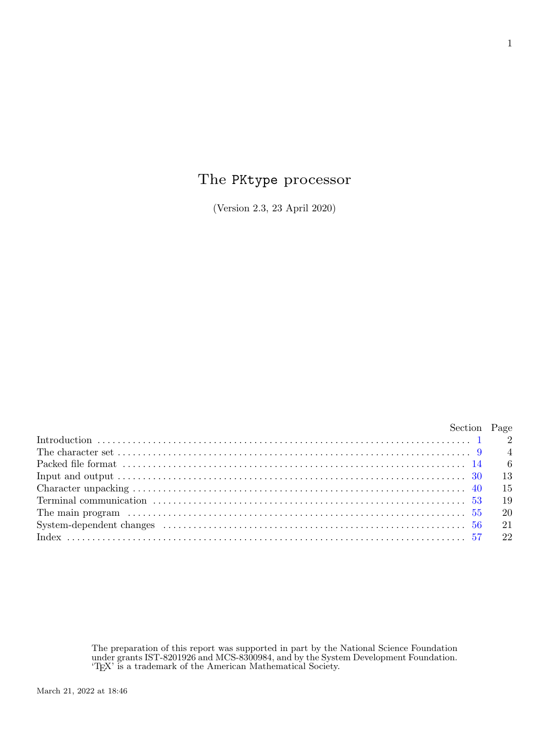## The PKtype processor

(Version 2.3, 23 April 2020)

|                                                                                                                                                                              | Section Page |
|------------------------------------------------------------------------------------------------------------------------------------------------------------------------------|--------------|
|                                                                                                                                                                              |              |
| The character set $\ldots$ $\ldots$ $\ldots$ $\ldots$ $\ldots$ $\ldots$ $\ldots$ $\ldots$ $\ldots$ $\ldots$ $\ldots$ $\ldots$ $\ldots$ $\ldots$ $\ldots$ $\qquad$ $\qquad$ 4 |              |
|                                                                                                                                                                              |              |
|                                                                                                                                                                              |              |
|                                                                                                                                                                              |              |
|                                                                                                                                                                              |              |
|                                                                                                                                                                              |              |
|                                                                                                                                                                              |              |
|                                                                                                                                                                              |              |

The preparation of this report was supported in part by the National Science Foundation under grants IST-8201926 and MCS-8300984, and by the System Development Foundation. 'TEX' is a trademark of the American Mathematical Society.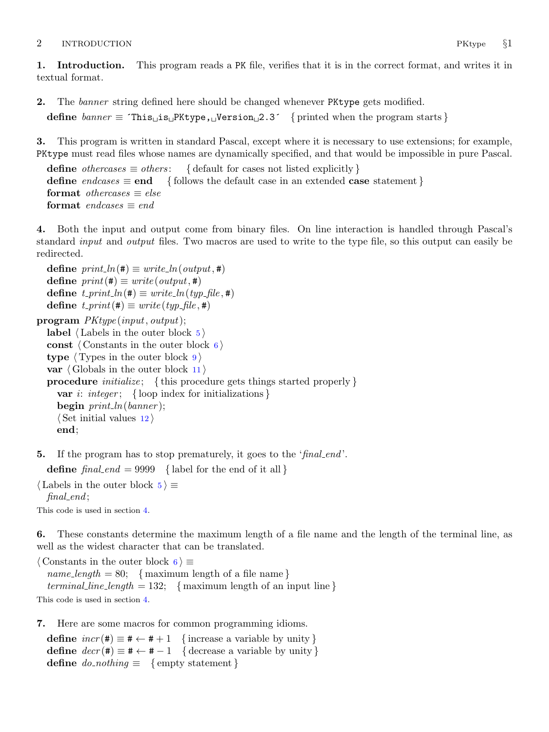## <span id="page-1-0"></span>2 INTRODUCTION PKtype  $\S1$

1. Introduction. This program reads a PK file, verifies that it is in the correct format, and writes it in textual format.

2. The banner string defined here should be changed whenever PKtype gets modified.

```
define \text{banner} \equiv \text{This} \text{if } \text{PKtype,} \text{if } \text{PFisen} \text{if } \text{PFine} \text{if } \text{PFine} \text{if } \text{PFine} \text{if } \text{PFine} \text{if } \text{PFine} \text{if } \text{PFine} \text{if } \text{PFine} \text{if } \text{PFine} \text{if } \text{PFine} \text{if } \text{PFine} \text{if } \text{PFine} \text{if } \text{PFine} \text{if } \text{PFine} \text{if } \text{PFine} \text{if } \text
```
3. This program is written in standard Pascal, except where it is necessary to use extensions; for example, PKtype must read files whose names are dynamically specified, and that would be impossible in pure Pascal.

define *othercases*  $\equiv$  *others*: { default for cases not listed explicitly } define endcases  $\equiv$  end { follows the default case in an extended case statement } format *othercases*  $\equiv$  *else* format endcases  $\equiv$  end

4. Both the input and output come from binary files. On line interaction is handled through Pascal's standard *input* and *output* files. Two macros are used to write to the type file, so this output can easily be redirected.

define  $print\_ln(F) \equiv write\_ln(output, \#)$ define  $print(\texttt{\#}) \equiv write(output, \texttt{\#})$ define  $t\_print\_ln(\texttt{\#}) \equiv write\_ln(typ\_file,\texttt{\#})$ define  $t$ -print(#)  $\equiv$  write (typ-file, #) program PKtype (input, output); label  $\langle$  Labels in the outer block  $5 \rangle$ const  $\langle$  Constants in the outer block 6 $\rangle$ type  $\langle$  Types in the outer block  $9 \rangle$  $9 \rangle$ var  $\langle$  Globals in the outer block [11](#page-3-0) $\rangle$ **procedure** *initialize*; {this procedure gets things started properly } var *i*: *integer*; { loop index for initializations } begin  $print\_ln(banner)$ ;  $\langle$  Set initial values [12](#page-4-0)  $\rangle$ 

end;

**5.** If the program has to stop prematurely, it goes to the 'final end'.

define  $\text{final\_end} = 9999$  { label for the end of it all }

 $\langle$  Labels in the outer block 5  $\rangle \equiv$ 

 $final$ . This code is used in section 4.

6. These constants determine the maximum length of a file name and the length of the terminal line, as well as the widest character that can be translated.

 $\langle$  Constants in the outer block 6  $\rangle \equiv$ name\_length = 80; { maximum length of a file name } terminal line length = 132; { maximum length of an input line } This code is used in section 4.

7. Here are some macros for common programming idioms.

define  $incr(\#) \equiv # \leftarrow # + 1$  {increase a variable by unity } define  $decr(\texttt{\#}) \equiv \texttt{\#} \leftarrow \texttt{\#} - 1$  { decrease a variable by unity } define  $do\_nothing \equiv \{$  empty statement  $\}$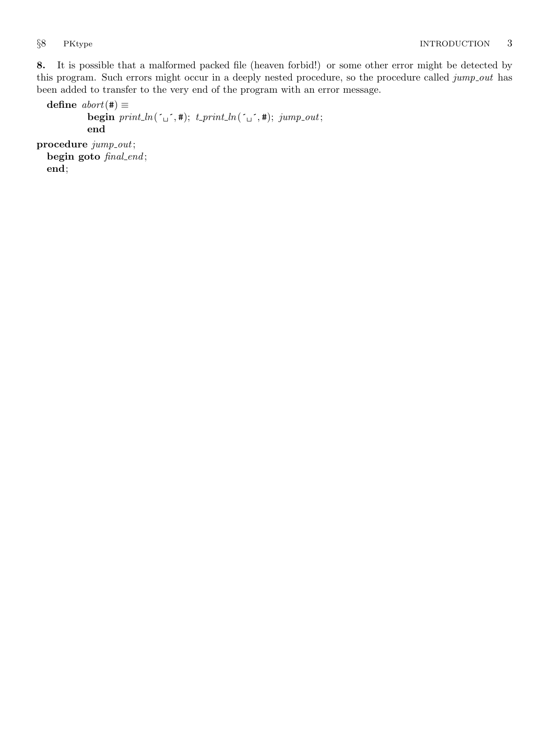<span id="page-2-0"></span>8. It is possible that a malformed packed file (heaven forbid!) or some other error might be detected by this program. Such errors might occur in a deeply nested procedure, so the procedure called jump out has been added to transfer to the very end of the program with an error message.

```
define abort(#) \equivbegin print\_ln(\ulcorner \rightharpoonup, \#); t\_print\_ln(\ulcorner \rightharpoonup, \#); jump\_out;end
procedure jump\_out;begin goto final_end;
  end;
```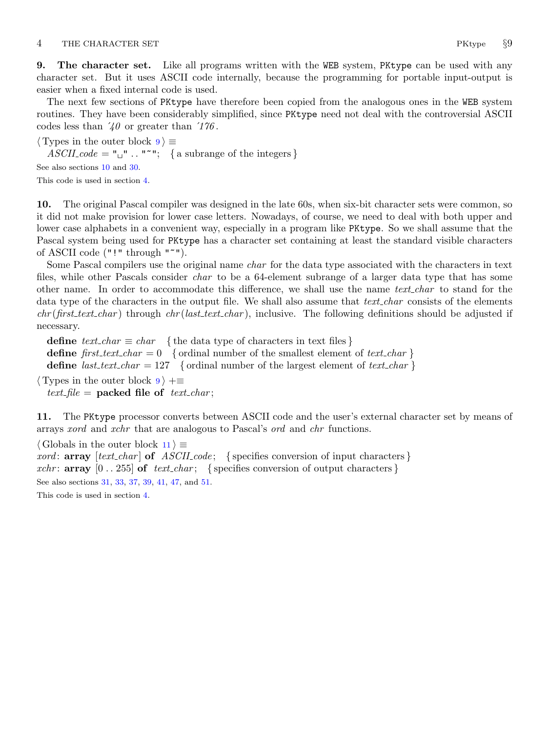<span id="page-3-0"></span>9. The character set. Like all programs written with the WEB system, PKtype can be used with any character set. But it uses ASCII code internally, because the programming for portable input-output is easier when a fixed internal code is used.

The next few sections of PKtype have therefore been copied from the analogous ones in the WEB system routines. They have been considerably simplified, since PKtype need not deal with the controversial ASCII codes less than  $\angle 40$  or greater than  $\angle 176$ .

 $\langle$  Types in the outer block  $9 \rangle \equiv$  $ASCII\_code = "u" ... "''';$  { a subrange of the integers }

See also sections 10 and [30.](#page-12-0)

This code is used in section [4](#page-1-0).

10. The original Pascal compiler was designed in the late 60s, when six-bit character sets were common, so it did not make provision for lower case letters. Nowadays, of course, we need to deal with both upper and lower case alphabets in a convenient way, especially in a program like PKtype. So we shall assume that the Pascal system being used for PKtype has a character set containing at least the standard visible characters of ASCII code ("!" through "~").

Some Pascal compilers use the original name *char* for the data type associated with the characters in text files, while other Pascals consider *char* to be a 64-element subrange of a larger data type that has some other name. In order to accommodate this difference, we shall use the name *text\_char* to stand for the data type of the characters in the output file. We shall also assume that *text\_char* consists of the elements  $chr(first\_text\_char)$  through  $chr(last\_text\_char)$ , inclusive. The following definitions should be adjusted if necessary.

define  $text_{cchar} \equiv char$  {the data type of characters in text files} define first text char  $= 0$  { ordinal number of the smallest element of text char } define *last\_text\_char* = 127 { ordinal number of the largest element of text\_char }

 $\langle$  Types in the outer block  $9 \rangle + \equiv$ text\_file = packed file of text\_char;

11. The PKtype processor converts between ASCII code and the user's external character set by means of arrays xord and xchr that are analogous to Pascal's ord and chr functions.

 $\langle$  Globals in the outer block 11  $\rangle \equiv$ 

*xord*:  $array [text{\n*char*] of *ASCII-code*; {specifies conversion of input characters}$ xchr: **array**  $[0 \tcdot 255]$  of text-char; { specifies conversion of output characters } See also sections [31](#page-12-0), [33,](#page-12-0) [37](#page-13-0), [39](#page-13-0), [41,](#page-14-0) [47](#page-16-0), and [51](#page-17-0).

This code is used in section [4](#page-1-0).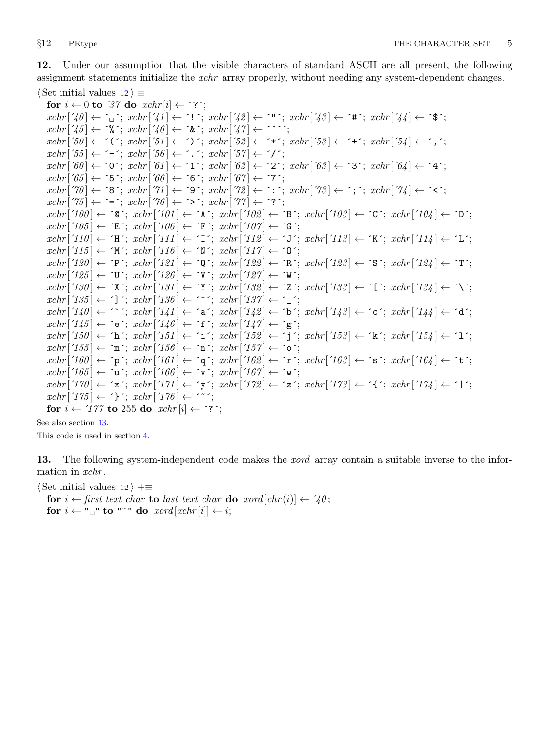<span id="page-4-0"></span>12. Under our assumption that the visible characters of standard ASCII are all present, the following assignment statements initialize the *xchr* array properly, without needing any system-dependent changes.  $\langle$  Set initial values  $12 \rangle \equiv$ 

for  $i \leftarrow 0$  to '37 do  $xchr[i] \leftarrow$  '?';  $xchr[740] \leftarrow \ulcorner_1$ ;  $xchr[74] \leftarrow \ulcorner!$ ;  $xchr[74] \leftarrow \ulcorner!$ ;  $xchr[74] \leftarrow \ulcorner*$ ;  $xchr[74] \leftarrow \ulcorner*$ ;  $xchr['45] \leftarrow \mathcal{X}$ ;  $xchr['46] \leftarrow \mathcal{X}$ ;  $xchr['47] \leftarrow \mathcal{Y}$ ;  $xchr[50] \leftarrow \checkmark$ ;  $xchr[51] \leftarrow \checkmark$ ;  $xchr[52] \leftarrow \checkmark$ ;  $xchr[53] \leftarrow \checkmark$ ;  $xchr[54] \leftarrow \checkmark$ ;  $xchr['55] \leftarrow -$ ;  $xchr['56] \leftarrow$ .;  $xchr['57] \leftarrow '$  $xchr['60] \leftarrow '0'; xchr['61] \leftarrow '1'; xchr['62] \leftarrow '2'; xchr['63] \leftarrow '3'; xchr['64] \leftarrow '4';$  $xchr['65] \leftarrow 5$ ;  $xchr['66] \leftarrow 6$ ;  $xchr['67] \leftarrow 7$ ;  $xchr[70] \leftarrow$  '8';  $xchr[71] \leftarrow$  '9';  $xchr[72] \leftarrow$  ':';  $xchr[73] \leftarrow$ '; ';  $xchr[74] \leftarrow$  '<';  $xchr['75] \leftarrow \equiv \div; xchr['76] \leftarrow \leftrightarrow \div; xchr['77] \leftarrow \div \div;$  $xchr['100] \leftarrow$   $\circ \mathbb{C}$ ;  $xchr['101] \leftarrow \mathbb{A}$ ;  $xchr['102] \leftarrow \mathbb{B}$ ;  $xchr['103] \leftarrow \mathbb{C}$ ;  $xchr['104] \leftarrow \mathbb{D}$ ;  $xchr['105] \leftarrow \text{'}E': xchr['106] \leftarrow \text{'}F': xchr['107] \leftarrow \text{'}G':$  $xchr['110] \leftarrow \text{`H}\text{`; } xchr['111] \leftarrow \text{`I}\text{`; } xchr['112] \leftarrow \text{`J}\text{`; } xchr['113] \leftarrow \text{`K}\text{`; } xchr['114] \leftarrow \text{`L}\text{`;}$  $xchr['115] \leftarrow \gamma' xchr['116] \leftarrow \gamma' xchr['117] \leftarrow \gamma'$ ;  $xchr[120] \leftarrow \text{`P'}; xchr[121] \leftarrow \text{`Q'}; xchr[122] \leftarrow \text{`R'}; xchr[123] \leftarrow \text{`S'}; xchr[124] \leftarrow \text{`T'};$  $xchr['125] \leftarrow \text{`U'}$ ;  $xchr['126] \leftarrow \text{`V'}$ ;  $xchr['127] \leftarrow \text{`W'}$ ;  $xchr['130] \leftarrow \text{'}X'; xchr['131] \leftarrow \text{'}Y'; xchr['132] \leftarrow \text{'}Z'; xchr['133] \leftarrow \text{'}[t'; xchr['134] \leftarrow \text{'}Y'; xchr['134] \leftarrow \text{'}Y'; xchr['135] \leftarrow \text{'}Z'; xchr['136] \leftarrow \text{'}Y'; xchr['136] \leftarrow \text{'}Y'; xchr['137] \leftarrow \text{'}Y'; xchr['138] \leftarrow \text{'}Y'; xchr['138] \leftarrow \text{'}Y'; xchr['138] \leftarrow \text{'}$  $xchr['135] \leftarrow \text{'}$ ;  $xchr['136] \leftarrow \text{'}$ ;  $xchr['137] \leftarrow \text{'}$ ;  $xchr['140] \leftarrow \cdots$ ;  $xchr['141] \leftarrow 'a$ ;  $xchr['142] \leftarrow 'b$ ;  $xchr['143] \leftarrow 'c$ ;  $xchr['144] \leftarrow 'a'$ ;  $xchr['145] \leftarrow \text{`e'}; xchr['146] \leftarrow \text{`f'}; xchr['147] \leftarrow \text{`g'};$  $xchr['150] \leftarrow \text{`h'}; xchr['151] \leftarrow \text{`i'}; xchr['152] \leftarrow \text{`j'}; xchr['153] \leftarrow \text{`k'}; xchr['154] \leftarrow \text{`1'};$  $xchr['155] \leftarrow \text{`m'}; xchr['156] \leftarrow \text{`n'}; xchr['157] \leftarrow \text{`o'};$  $xchr['160] \leftarrow \text{`p`; } xchr['161] \leftarrow \text{`q`; } xchr['162] \leftarrow \text{`r`; } xchr['163] \leftarrow \text{`s`; } xchr['164] \leftarrow \text{`t`;}$  $xchr['165] \leftarrow \text{`u'}; xchr['166] \leftarrow \text{`v'}; xchr['167] \leftarrow \text{`w'};$  $xchr['170] \leftarrow \text{'x'}; xchr['171] \leftarrow \text{'y'}; xchr['172] \leftarrow \text{'z'}; xchr['173] \leftarrow \text{'t'}; xchr['174] \leftarrow \text{'t'};$  $xchr['175] \leftarrow \text{'}$ ;  $xchr['176] \leftarrow \text{'}$ for  $i \leftarrow 777$  to 255 do  $xchr[i] \leftarrow ?$ ;

See also section 13.

This code is used in section [4](#page-1-0).

13. The following system-independent code makes the *xord* array contain a suitable inverse to the information in xchr.

 $\langle$  Set initial values  $12$   $\rangle$  +≡

for  $i \leftarrow$  first\_text\_char to last\_text\_char do xord  $[chr(i)] \leftarrow '40$ ; for  $i \leftarrow$  " $\sqcup$ " to "<sup>\*</sup>" do xord [xchr[i]  $\leftarrow i$ ;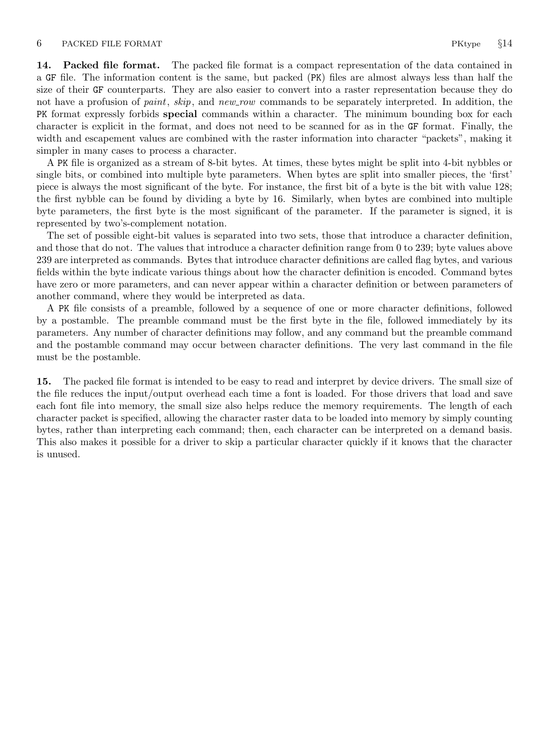<span id="page-5-0"></span>14. Packed file format. The packed file format is a compact representation of the data contained in a GF file. The information content is the same, but packed (PK) files are almost always less than half the size of their GF counterparts. They are also easier to convert into a raster representation because they do not have a profusion of *paint*, *skip*, and *new row* commands to be separately interpreted. In addition, the PK format expressly forbids special commands within a character. The minimum bounding box for each character is explicit in the format, and does not need to be scanned for as in the GF format. Finally, the width and escapement values are combined with the raster information into character "packets", making it simpler in many cases to process a character.

A PK file is organized as a stream of 8-bit bytes. At times, these bytes might be split into 4-bit nybbles or single bits, or combined into multiple byte parameters. When bytes are split into smaller pieces, the 'first' piece is always the most significant of the byte. For instance, the first bit of a byte is the bit with value 128; the first nybble can be found by dividing a byte by 16. Similarly, when bytes are combined into multiple byte parameters, the first byte is the most significant of the parameter. If the parameter is signed, it is represented by two's-complement notation.

The set of possible eight-bit values is separated into two sets, those that introduce a character definition, and those that do not. The values that introduce a character definition range from 0 to 239; byte values above 239 are interpreted as commands. Bytes that introduce character definitions are called flag bytes, and various fields within the byte indicate various things about how the character definition is encoded. Command bytes have zero or more parameters, and can never appear within a character definition or between parameters of another command, where they would be interpreted as data.

A PK file consists of a preamble, followed by a sequence of one or more character definitions, followed by a postamble. The preamble command must be the first byte in the file, followed immediately by its parameters. Any number of character definitions may follow, and any command but the preamble command and the postamble command may occur between character definitions. The very last command in the file must be the postamble.

15. The packed file format is intended to be easy to read and interpret by device drivers. The small size of the file reduces the input/output overhead each time a font is loaded. For those drivers that load and save each font file into memory, the small size also helps reduce the memory requirements. The length of each character packet is specified, allowing the character raster data to be loaded into memory by simply counting bytes, rather than interpreting each command; then, each character can be interpreted on a demand basis. This also makes it possible for a driver to skip a particular character quickly if it knows that the character is unused.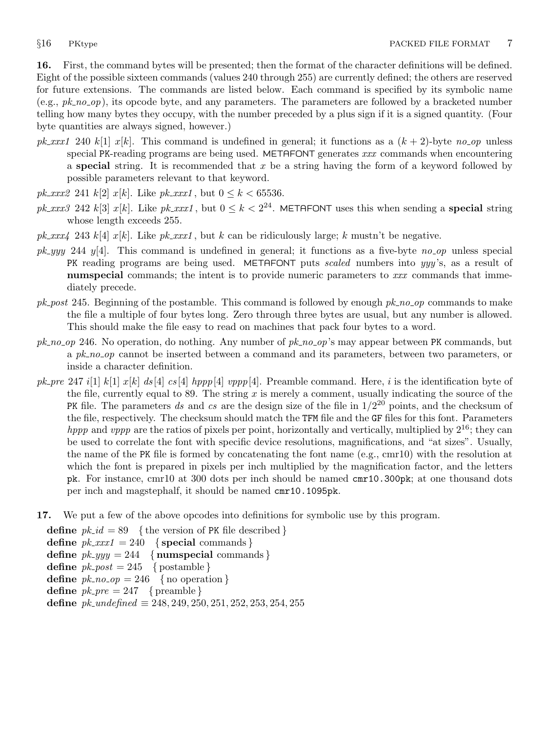<span id="page-6-0"></span>16. First, the command bytes will be presented; then the format of the character definitions will be defined. Eight of the possible sixteen commands (values 240 through 255) are currently defined; the others are reserved for future extensions. The commands are listed below. Each command is specified by its symbolic name  $(e.g., pk-no-op)$ , its opcode byte, and any parameters. The parameters are followed by a bracketed number telling how many bytes they occupy, with the number preceded by a plus sign if it is a signed quantity. (Four byte quantities are always signed, however.)

- pk xxx1 240 k[1] x[k]. This command is undefined in general; it functions as a  $(k + 2)$ -byte no op unless special PK-reading programs are being used. METAFONT generates xxx commands when encountering a special string. It is recommended that  $x$  be a string having the form of a keyword followed by possible parameters relevant to that keyword.
- *pk\_xxx2* 241  $k[2]$  *x*[ $k$ ]. Like *pk\_xxx1*, but  $0 \le k < 65536$ .
- pk xxx3 242 k[3] x[k]. Like pk xxx1, but  $0 \le k < 2^{24}$ . METAFONT uses this when sending a **special** string whose length exceeds 255.
- pk\_xxx4 243 k[4] x[k]. Like pk\_xxx1, but k can be ridiculously large; k mustn't be negative.
- $pk_{\mathcal{A}}$  y/4. This command is undefined in general; it functions as a five-byte no op unless special PK reading programs are being used. METAFONT puts *scaled* numbers into yyy's, as a result of numspecial commands; the intent is to provide numeric parameters to xxx commands that immediately precede.
- $pk\_post$  245. Beginning of the postamble. This command is followed by enough  $pk\_no\_op$  commands to make the file a multiple of four bytes long. Zero through three bytes are usual, but any number is allowed. This should make the file easy to read on machines that pack four bytes to a word.
- $pk_{10}$  246. No operation, do nothing. Any number of  $pk_{10}$  op's may appear between PK commands, but a pk no op cannot be inserted between a command and its parameters, between two parameters, or inside a character definition.
- pk pre 247 i[1] k[1]  $x[k]$  ds [4] cs [4] hppp[4] vppp[4]. Preamble command. Here, i is the identification byte of the file, currently equal to 89. The string  $x$  is merely a comment, usually indicating the source of the PK file. The parameters ds and cs are the design size of the file in  $1/2^{20}$  points, and the checksum of the file, respectively. The checksum should match the TFM file and the GF files for this font. Parameters *hppp* and *vppp* are the ratios of pixels per point, horizontally and vertically, multiplied by  $2^{16}$ ; they can be used to correlate the font with specific device resolutions, magnifications, and "at sizes". Usually, the name of the PK file is formed by concatenating the font name (e.g., cmr10) with the resolution at which the font is prepared in pixels per inch multiplied by the magnification factor, and the letters pk. For instance, cmr10 at 300 dots per inch should be named cmr10.300pk; at one thousand dots per inch and magstephalf, it should be named cmr10.1095pk.
- 17. We put a few of the above opcodes into definitions for symbolic use by this program.

define  $pk\_id = 89$  { the version of PK file described } define  $pk\_xxx1 = 240$  {special commands} define  $pk\_yyy = 244$  { numspecial commands } define  $pk\_post = 245$  { postamble } define  $pk\_no\_op = 246$  { no operation } define  $pk\_pre = 247$  { preamble } define  $pk\_undefined \equiv 248, 249, 250, 251, 252, 253, 254, 255$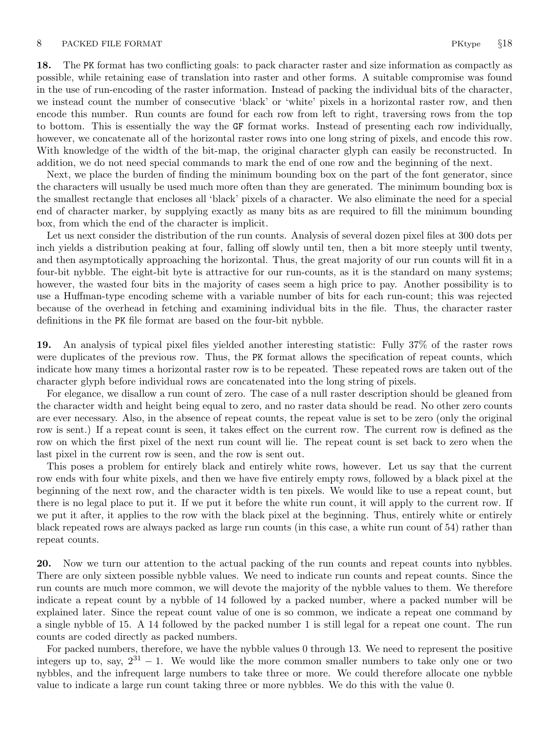18. The PK format has two conflicting goals: to pack character raster and size information as compactly as possible, while retaining ease of translation into raster and other forms. A suitable compromise was found in the use of run-encoding of the raster information. Instead of packing the individual bits of the character, we instead count the number of consecutive 'black' or 'white' pixels in a horizontal raster row, and then encode this number. Run counts are found for each row from left to right, traversing rows from the top to bottom. This is essentially the way the GF format works. Instead of presenting each row individually, however, we concatenate all of the horizontal raster rows into one long string of pixels, and encode this row. With knowledge of the width of the bit-map, the original character glyph can easily be reconstructed. In addition, we do not need special commands to mark the end of one row and the beginning of the next.

Next, we place the burden of finding the minimum bounding box on the part of the font generator, since the characters will usually be used much more often than they are generated. The minimum bounding box is the smallest rectangle that encloses all 'black' pixels of a character. We also eliminate the need for a special end of character marker, by supplying exactly as many bits as are required to fill the minimum bounding box, from which the end of the character is implicit.

Let us next consider the distribution of the run counts. Analysis of several dozen pixel files at 300 dots per inch yields a distribution peaking at four, falling off slowly until ten, then a bit more steeply until twenty, and then asymptotically approaching the horizontal. Thus, the great majority of our run counts will fit in a four-bit nybble. The eight-bit byte is attractive for our run-counts, as it is the standard on many systems; however, the wasted four bits in the majority of cases seem a high price to pay. Another possibility is to use a Huffman-type encoding scheme with a variable number of bits for each run-count; this was rejected because of the overhead in fetching and examining individual bits in the file. Thus, the character raster definitions in the PK file format are based on the four-bit nybble.

19. An analysis of typical pixel files yielded another interesting statistic: Fully 37% of the raster rows were duplicates of the previous row. Thus, the PK format allows the specification of repeat counts, which indicate how many times a horizontal raster row is to be repeated. These repeated rows are taken out of the character glyph before individual rows are concatenated into the long string of pixels.

For elegance, we disallow a run count of zero. The case of a null raster description should be gleaned from the character width and height being equal to zero, and no raster data should be read. No other zero counts are ever necessary. Also, in the absence of repeat counts, the repeat value is set to be zero (only the original row is sent.) If a repeat count is seen, it takes effect on the current row. The current row is defined as the row on which the first pixel of the next run count will lie. The repeat count is set back to zero when the last pixel in the current row is seen, and the row is sent out.

This poses a problem for entirely black and entirely white rows, however. Let us say that the current row ends with four white pixels, and then we have five entirely empty rows, followed by a black pixel at the beginning of the next row, and the character width is ten pixels. We would like to use a repeat count, but there is no legal place to put it. If we put it before the white run count, it will apply to the current row. If we put it after, it applies to the row with the black pixel at the beginning. Thus, entirely white or entirely black repeated rows are always packed as large run counts (in this case, a white run count of 54) rather than repeat counts.

20. Now we turn our attention to the actual packing of the run counts and repeat counts into nybbles. There are only sixteen possible nybble values. We need to indicate run counts and repeat counts. Since the run counts are much more common, we will devote the majority of the nybble values to them. We therefore indicate a repeat count by a nybble of 14 followed by a packed number, where a packed number will be explained later. Since the repeat count value of one is so common, we indicate a repeat one command by a single nybble of 15. A 14 followed by the packed number 1 is still legal for a repeat one count. The run counts are coded directly as packed numbers.

For packed numbers, therefore, we have the nybble values 0 through 13. We need to represent the positive integers up to, say,  $2^{31} - 1$ . We would like the more common smaller numbers to take only one or two nybbles, and the infrequent large numbers to take three or more. We could therefore allocate one nybble value to indicate a large run count taking three or more nybbles. We do this with the value 0.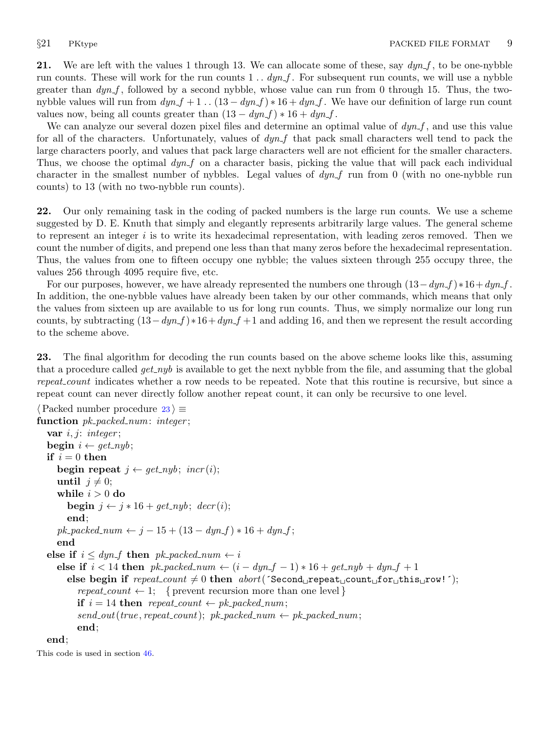<span id="page-8-0"></span>21. We are left with the values 1 through 13. We can allocate some of these, say  $\frac{dyn}{f}$ , to be one-nybble run counts. These will work for the run counts  $1 \dots dyn.f$ . For subsequent run counts, we will use a nybble greater than  $dyn.f$ , followed by a second nybble, whose value can run from 0 through 15. Thus, the twonybble values will run from  $dyn_f + 1$ ..  $(13 - dyn_f) * 16 + dyn_f$ . We have our definition of large run count values now, being all counts greater than  $(13 - dyn_f) * 16 + dyn_f$ .

We can analyze our several dozen pixel files and determine an optimal value of  $dyn_f$ , and use this value for all of the characters. Unfortunately, values of  $dyn<sub>-</sub>f$  that pack small characters well tend to pack the large characters poorly, and values that pack large characters well are not efficient for the smaller characters. Thus, we choose the optimal  $dyn<sub>-</sub>f$  on a character basis, picking the value that will pack each individual character in the smallest number of nybbles. Legal values of  $dyn$  f run from 0 (with no one-nybble run counts) to 13 (with no two-nybble run counts).

22. Our only remaining task in the coding of packed numbers is the large run counts. We use a scheme suggested by D. E. Knuth that simply and elegantly represents arbitrarily large values. The general scheme to represent an integer  $i$  is to write its hexadecimal representation, with leading zeros removed. Then we count the number of digits, and prepend one less than that many zeros before the hexadecimal representation. Thus, the values from one to fifteen occupy one nybble; the values sixteen through 255 occupy three, the values 256 through 4095 require five, etc.

For our purposes, however, we have already represented the numbers one through  $(13-dyn_f) *16+dyn_f$ . In addition, the one-nybble values have already been taken by our other commands, which means that only the values from sixteen up are available to us for long run counts. Thus, we simply normalize our long run counts, by subtracting  $(13-dyn_f) * 16+dyn_f +1$  and adding 16, and then we represent the result according to the scheme above.

23. The final algorithm for decoding the run counts based on the above scheme looks like this, assuming that a procedure called  $get_nyb$  is available to get the next nybble from the file, and assuming that the global repeat count indicates whether a row needs to be repeated. Note that this routine is recursive, but since a repeat count can never directly follow another repeat count, it can only be recursive to one level.

```
\langle Packed number procedure 23 \rangle \equivfunction pk-packed_num: integer;
  var i, j: integer;
  begin i \leftarrow get\_nyb;
  if i = 0 then
     begin repeat j \leftarrow get\_nyb; incr(i);
     until j \neq 0;while i > 0 do
       begin j \leftarrow j * 16 + get_n y b; decr(i);
       end;
     pk\_packet\_num \leftarrow j - 15 + (13 - dyn\_f) * 16 + dyn\_f;end
  else if i \leq dyn_f then pk_packed_num \leftarrow ielse if i < 14 then pk-packed_num \leftarrow (i - dyn_f - 1) * 16 + get-nyb + dyn-f + 1
       else begin if repeat\_count \neq 0 then abort('Second_Urepeat_Ucount_Ufor_Uthis_Urow!);
          repeat\_count \leftarrow 1; { prevent recursion more than one level }
          if i = 14 then repeat_count \leftarrow pk_packed_num;
          send\_out(true, repeat\_count); pk\_packed_number \leftarrow pk\_packed_number;end;
  end;
```
This code is used in section [46](#page-16-0).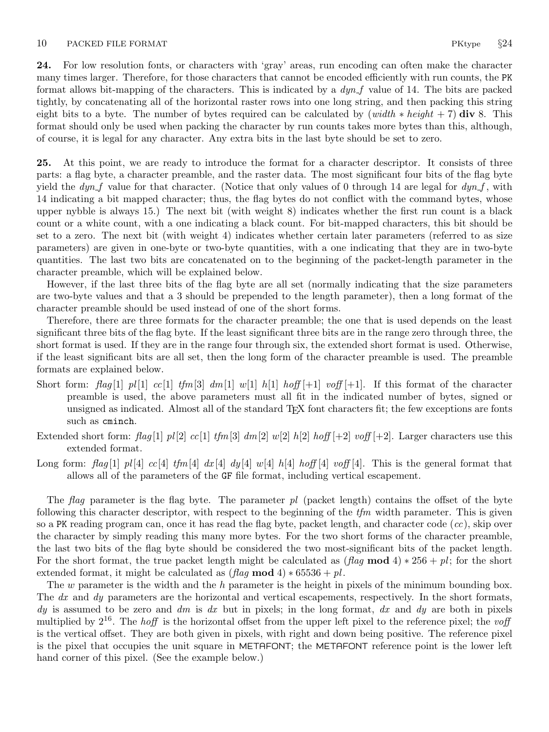<span id="page-9-0"></span>24. For low resolution fonts, or characters with 'gray' areas, run encoding can often make the character many times larger. Therefore, for those characters that cannot be encoded efficiently with run counts, the PK format allows bit-mapping of the characters. This is indicated by a  $dyn_f$  value of 14. The bits are packed tightly, by concatenating all of the horizontal raster rows into one long string, and then packing this string eight bits to a byte. The number of bytes required can be calculated by (width  $*$  height + 7) div 8. This format should only be used when packing the character by run counts takes more bytes than this, although, of course, it is legal for any character. Any extra bits in the last byte should be set to zero.

25. At this point, we are ready to introduce the format for a character descriptor. It consists of three parts: a flag byte, a character preamble, and the raster data. The most significant four bits of the flag byte yield the  $dyn_f$  value for that character. (Notice that only values of 0 through 14 are legal for  $dyn_f$ , with 14 indicating a bit mapped character; thus, the flag bytes do not conflict with the command bytes, whose upper nybble is always 15.) The next bit (with weight 8) indicates whether the first run count is a black count or a white count, with a one indicating a black count. For bit-mapped characters, this bit should be set to a zero. The next bit (with weight 4) indicates whether certain later parameters (referred to as size parameters) are given in one-byte or two-byte quantities, with a one indicating that they are in two-byte quantities. The last two bits are concatenated on to the beginning of the packet-length parameter in the character preamble, which will be explained below.

However, if the last three bits of the flag byte are all set (normally indicating that the size parameters are two-byte values and that a 3 should be prepended to the length parameter), then a long format of the character preamble should be used instead of one of the short forms.

Therefore, there are three formats for the character preamble; the one that is used depends on the least significant three bits of the flag byte. If the least significant three bits are in the range zero through three, the short format is used. If they are in the range four through six, the extended short format is used. Otherwise, if the least significant bits are all set, then the long form of the character preamble is used. The preamble formats are explained below.

- Short form: flag [1]  $pl[1]$  cc[1]  $t/m[3]$  dm[1] w[1] h[1] hoff [+1] voff [+1]. If this format of the character preamble is used, the above parameters must all fit in the indicated number of bytes, signed or unsigned as indicated. Almost all of the standard TEX font characters fit; the few exceptions are fonts such as cminch.
- Extended short form: flag [1]  $pl[2]$  cc[1] tfm[3] dm[2] w[2] h[2] hoff [+2] voff [+2]. Larger characters use this extended format.
- Long form: flag [1] pl [4] cc [4] tfm [4] dx [4] dy [4] w[4] h [4] hoff [4] voff [4]. This is the general format that allows all of the parameters of the GF file format, including vertical escapement.

The flag parameter is the flag byte. The parameter  $pl$  (packet length) contains the offset of the byte following this character descriptor, with respect to the beginning of the  $t/m$  width parameter. This is given so a PK reading program can, once it has read the flag byte, packet length, and character code  $(cc)$ , skip over the character by simply reading this many more bytes. For the two short forms of the character preamble, the last two bits of the flag byte should be considered the two most-significant bits of the packet length. For the short format, the true packet length might be calculated as  $(\text{flag mod } 4) * 256 + \text{pl}$ ; for the short extended format, it might be calculated as  $(\text{flag mod } 4) * 65536 + \text{pl}$ .

The w parameter is the width and the h parameter is the height in pixels of the minimum bounding box. The dx and dy parameters are the horizontal and vertical escapements, respectively. In the short formats, dy is assumed to be zero and dm is dx but in pixels; in the long format, dx and dy are both in pixels multiplied by  $2^{16}$ . The *hoff* is the horizontal offset from the upper left pixel to the reference pixel; the voff is the vertical offset. They are both given in pixels, with right and down being positive. The reference pixel is the pixel that occupies the unit square in METAFONT; the METAFONT reference point is the lower left hand corner of this pixel. (See the example below.)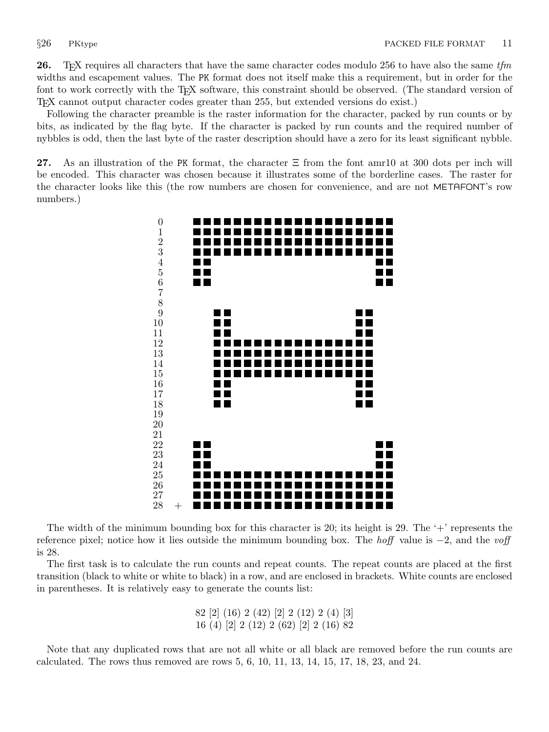<span id="page-10-0"></span>**26.** T<sub>E</sub>X requires all characters that have the same character codes modulo 256 to have also the same  $t/m$ widths and escapement values. The PK format does not itself make this a requirement, but in order for the font to work correctly with the T<sub>E</sub>X software, this constraint should be observed. (The standard version of TEX cannot output character codes greater than 255, but extended versions do exist.)

Following the character preamble is the raster information for the character, packed by run counts or by bits, as indicated by the flag byte. If the character is packed by run counts and the required number of nybbles is odd, then the last byte of the raster description should have a zero for its least significant nybble.

27. As an illustration of the PK format, the character  $\Xi$  from the font amr10 at 300 dots per inch will be encoded. This character was chosen because it illustrates some of the borderline cases. The raster for the character looks like this (the row numbers are chosen for convenience, and are not METAFONT's row numbers.)



The width of the minimum bounding box for this character is 20; its height is 29. The  $+$  represents the reference pixel; notice how it lies outside the minimum bounding box. The *hoff* value is  $-2$ , and the voff is 28.

The first task is to calculate the run counts and repeat counts. The repeat counts are placed at the first transition (black to white or white to black) in a row, and are enclosed in brackets. White counts are enclosed in parentheses. It is relatively easy to generate the counts list:

> 82 [2] (16) 2 (42) [2] 2 (12) 2 (4) [3] 16 (4) [2] 2 (12) 2 (62) [2] 2 (16) 82

Note that any duplicated rows that are not all white or all black are removed before the run counts are calculated. The rows thus removed are rows 5, 6, 10, 11, 13, 14, 15, 17, 18, 23, and 24.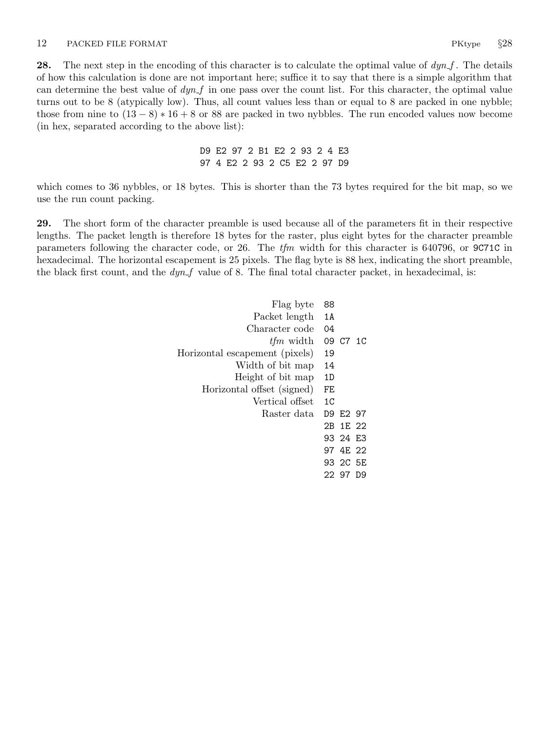<span id="page-11-0"></span>**28.** The next step in the encoding of this character is to calculate the optimal value of  $dyn_f$ . The details of how this calculation is done are not important here; suffice it to say that there is a simple algorithm that can determine the best value of  $dyn$  in one pass over the count list. For this character, the optimal value turns out to be 8 (atypically low). Thus, all count values less than or equal to 8 are packed in one nybble; those from nine to  $(13 - 8) * 16 + 8$  or 88 are packed in two nybbles. The run encoded values now become (in hex, separated according to the above list):

> D9 E2 97 2 B1 E2 2 93 2 4 E3 97 4 E2 2 93 2 C5 E2 2 97 D9

which comes to 36 nybbles, or 18 bytes. This is shorter than the 73 bytes required for the bit map, so we use the run count packing.

29. The short form of the character preamble is used because all of the parameters fit in their respective lengths. The packet length is therefore 18 bytes for the raster, plus eight bytes for the character preamble parameters following the character code, or 26. The  $t/m$  width for this character is 640796, or 9C71C in hexadecimal. The horizontal escapement is 25 pixels. The flag byte is 88 hex, indicating the short preamble, the black first count, and the  $dyn$ -f value of 8. The final total character packet, in hexadecimal, is:

| Flag byte                      | 88             |           |  |
|--------------------------------|----------------|-----------|--|
| Packet length                  | 1A             |           |  |
| Character code                 | 04             |           |  |
| <i>tfm</i> width               |                | 09 C7 1C  |  |
| Horizontal escapement (pixels) | 19             |           |  |
| Width of bit map               | 14             |           |  |
| Height of bit map              | 1D             |           |  |
| Horizontal offset (signed)     | FE             |           |  |
| Vertical offset                | 1 <sup>C</sup> |           |  |
| Raster data                    |                | D9 E2 97  |  |
|                                |                | 2B 1E 22  |  |
|                                |                | 93 24 F.3 |  |
|                                |                | 97 4F 22  |  |
|                                |                | 93 2C 5E  |  |
|                                |                | 22 97 D9  |  |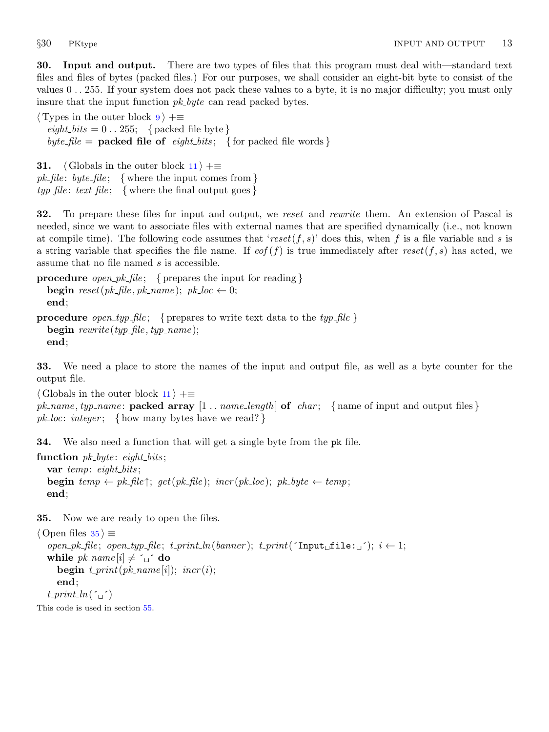<span id="page-12-0"></span>30. Input and output. There are two types of files that this program must deal with—standard text files and files of bytes (packed files.) For our purposes, we shall consider an eight-bit byte to consist of the values 0 . . 255. If your system does not pack these values to a byte, it is no major difficulty; you must only insure that the input function *pk\_byte* can read packed bytes.

 $\langle$  Types in the outer block [9](#page-3-0)  $\rangle$  +≡  $\text{eight\_bits} = 0 \dots 255; \text{ { packed file byte }}$ byte\_file = **packed file of** eight\_bits; { for packed file words }

**31.**  $\langle$  Globals in the outer block  $11$   $\rangle$  +≡ *pk\_file*: *byte\_file*; { where the input comes from }  $typ$ -file:  $text$ -file; { where the final output goes}

32. To prepare these files for input and output, we reset and rewrite them. An extension of Pascal is needed, since we want to associate files with external names that are specified dynamically (i.e., not known at compile time). The following code assumes that 'reset(f, s)' does this, when f is a file variable and s is a string variable that specifies the file name. If  $\epsilon$  (f) is true immediately after reset(f, s) has acted, we assume that no file named s is accessible.

```
procedure open_pk_file; { prepares the input for reading }
  begin reset(pk-file, pk-name); pk\_loc \leftarrow 0;
  end;
```

```
procedure open typ file; { prepares to write text data to the typ file }
  begin \textit{rewrite}(\textit{typ}\_\textit{file}, \textit{typ}\_\textit{name});end;
```
33. We need a place to store the names of the input and output file, as well as a byte counter for the output file.

 $\langle$  Globals in the outer block [11](#page-3-0)  $\rangle$  + $\equiv$ 

```
pk_name, typ_name: packed array [1 \tldots name_length of char; { name of input and output files }
pk\_loc: integer; \{ how many bytes have we read? \}
```
34. We also need a function that will get a single byte from the pk file.

```
function pk\_byte: eight_bits;
  var temp: eight_bits;
  begin temp \leftarrow pk\text{-}file\; get(pk\text{-}file); incr(pk\text{-}loc); pk\text{-}byte \leftarrow temp;
  end;
```
35. Now we are ready to open the files.

```
\langle Open files 35 \rangle \equivopen pk file ; open typ file ; t print ln(banner ); t print(´Input file: ´); i ← 1;
   while pk\_name[i] \neq \iota_i \circ \mathbf{do}begin t<sub>-print</sub>(pk<sub>-name</sub>[i]; incr(i);
      end;
   t-print ln( \cdot \cdot )
```
This code is used in section [55](#page-19-0).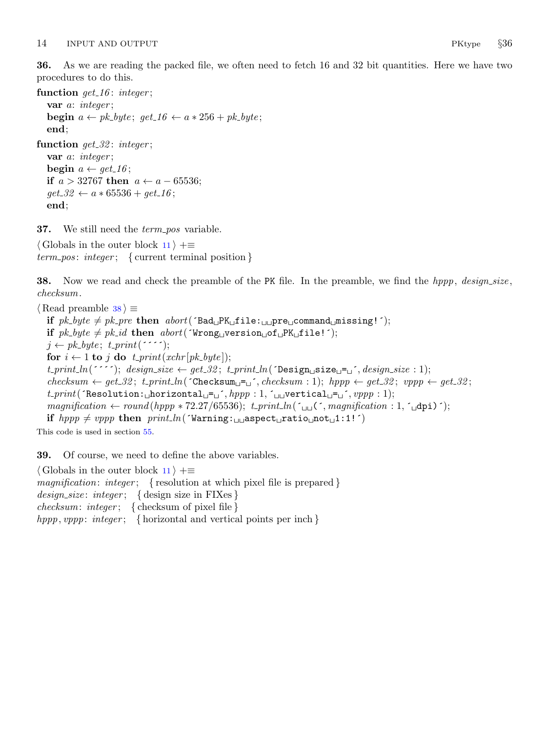<span id="page-13-0"></span>36. As we are reading the packed file, we often need to fetch 16 and 32 bit quantities. Here we have two procedures to do this.

```
function get_1 16: integer;
  var a: integer ;
  begin a \leftarrow pk\_byte; get_16 \leftarrow a * 256 + pk\_byte;
  end;
function get_32: integer;
  var a: integer;
  begin a \leftarrow get\_16;
  if a > 32767 then a ← a − 65536;
  get\_32 \leftarrow a * 65536 + get\_16;
  end;
```
**37.** We still need the *term\_pos* variable.

 $\langle$  Globals in the outer block [11](#page-3-0)  $\rangle$  +≡  $term\_pos: integer; \{ current terminal position\}$ 

**38.** Now we read and check the preamble of the PK file. In the preamble, we find the hppp, design\_size, checksum.

```
\langle Read preamble 38 \rangle \equivif pk\_byte \neq pk\_pre then abort('Bad \_PK \_file::\_\perp pre \_command \_nt = 0; ';
  if pk\_byte \neq pk\_id then abort('Wrong\cup version\cup of \cup PK \cup file!);
  j \leftarrow pk\_byte; t\_print('for i \leftarrow 1 to j do t_print(xchr [pk_byte]);
  t\_print\_ln("''');\text{ design\_size} \leftarrow get\_32; \text{t\_print\_ln("Design\_size\_j",\text{design\_size}: 1);}checksum \leftarrow get\_32; t\_print\_ln(\text{Checksum} = \text{C,} checksum : 1); hpp \leftarrow get\_32; vpp \leftarrow get\_32;
   t\_print( Thesolution: _{\sqcup} horizontal_{\sqcup}=_{\sqcup}, hppp : 1, \lnot_{\sqcup} vertical_{\sqcup}=_{\sqcup}, vppp : 1);magnification \leftarrow round(hppp * 72.27/65536); t.println('q) (', magnification : 1, 'qpi)');if hppp \neq vppp then print\_ln('Warning: aspect ratio not 1:1! )This code is used in section 55.
```
39. Of course, we need to define the above variables.

 $\langle$  Globals in the outer block [11](#page-3-0)  $\rangle$  + $\equiv$ magnification: integer; { resolution at which pixel file is prepared }  $design\_size: integer; \{ design size in FIXes\}$  $checksum: integer; \{ checksum of pixel file\}$ hppp, vppp: integer; { horizontal and vertical points per inch}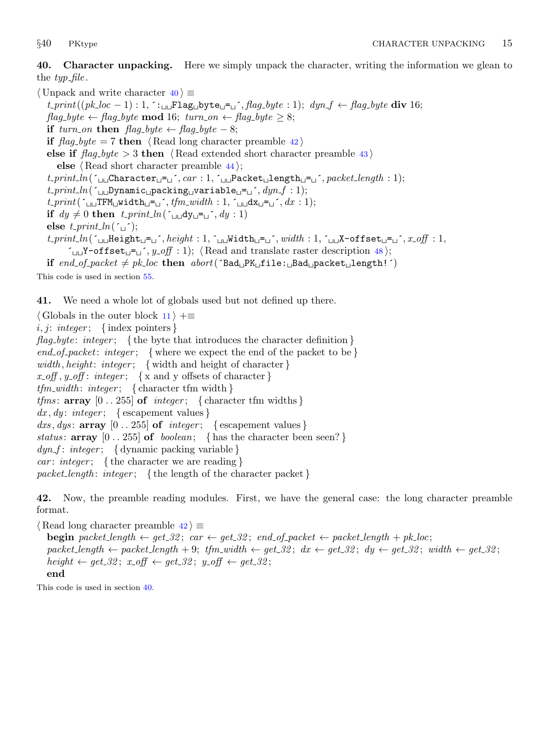<span id="page-14-0"></span>40. Character unpacking. Here we simply unpack the character, writing the information we glean to the  $typ$ -file.

 $\langle$  Unpack and write character 40  $\rangle \equiv$  $t\_print((pk\_loc - 1): 1, \dots \sqcup \text{Flag\_byte\_} = \dots, flag\_byte : 1); \, dyn\_f \leftarrow flag\_byte \, div \, 16;$ flag\_byte ← flag\_byte **mod** 16; turn\_on ← flag\_byte  $\geq 8$ ; if turn\_on then  $flag\_byte \leftarrow flag\_byte - 8;$ if  $flag_byte = 7$  then  $\langle$  Read long character preamble 42 $\rangle$ else if  $flag_byte > 3$  then  $\langle Read\>extended\>short\>character\>preamble\>43 \rangle$  $\langle Read\>extended\>short\>character\>preamble\>43 \rangle$  $\langle Read\>extended\>short\>character\>preamble\>43 \rangle$ else  $\langle$  Read short character preamble [44](#page-15-0) $\rangle$ ;  $t\_print\_ln(\Delta_{\text{L}} \text{Character}_{\text{L}} = \Delta', car: 1, \Delta_{\text{L}} \text{Packet}_{\text{L}} \text{length}_{\text{L}} = \Delta', packet\_length: 1);$  $t\_print\_ln($   $\sim$  Dynamic packing variable  $\equiv$   $\sim$   $\sim$   $dyn\_f : 1$ );  $t\_print(\ulcorner_{\sqcup\sqcup}$ TFM $_{\sqcup}$ width $_{\sqcup}$ = $_{\sqcup}$ ',  $tfm\_width: 1, \ulcorner_{\sqcup\sqcup}$ dx $_{\sqcup}$ = $_{\sqcup}$ ',  $dx: 1$ ); if  $dy \neq 0$  then  $t$ -print  $ln(\sim_{\text{un}} dy)$   $\sim$   $(y : 1)$ else  $t$ -print-ln( $\sim$  $t\_print\_ln(\text{``\texttt{u}m} = \texttt{u}^-, \textit{height}: 1, \text{``\texttt{u}m} = \texttt{u}'$ , width : 1,  $\text{``\texttt{u}m} = \text{offset} = \texttt{u}'$ ,  $x\_off: 1$ ,  $\text{``} \square \text{``} \blacksquare$ Y-offset $\square \text{``} \square$ ,  $\text{``} \square \text{``} \square$  ;  $\text{``} \square$  \; \ead and translate raster description [48](#page-16-0)); if end\_of\_packet  $\neq$  pk\_loc then abort( $\text{`Bad}_{\sqcup}$ PK $_{\sqcup}$ file: $_{\sqcup}$ Bad $_{\sqcup}$ packet $_{\sqcup}$ length!')

This code is used in section [55](#page-19-0).

41. We need a whole lot of globals used but not defined up there.

 $\langle$  Globals in the outer block [11](#page-3-0)  $\rangle$  += i, j: integer; {index pointers} flag byte: integer; { the byte that introduces the character definition }  $end_of packet: integer; \{ where we expect the end of the packet to be \}$ width, height: integer; { width and height of character }  $x \text{-} off, y \text{-} off: integer; \{ x \text{ and } y \text{ offsets of character } \}$  $tfm_width: integer; \{ character tfmwidth\}$ *tfms*:  $array [0..255] of integer; {\text{character tfm widths}}$  $dx, dy: integer; \{ \text{escapement values} \}$ dxs, dys:  $\arctan 0$ . 255 of integer; { escapement values } status:  $array \t[0.1255] of boolean; \{\text{has the character been seen?}\}$  $dyn_f$ :  $integer$ ; { dynamic packing variable } *car: integer*; {the character we are reading} packet\_length: integer; { the length of the character packet }

42. Now, the preamble reading modules. First, we have the general case: the long character preamble format.

 $\langle$  Read long character preamble 42 $\rangle \equiv$ **begin** packet\_length  $\leftarrow$  get\_32; car  $\leftarrow$  get\_32; end\_of\_packet  $\leftarrow$  packet\_length + pk\_loc; packet length  $\leftarrow$  packet length + 9; tfm width  $\leftarrow$  get 32; dx  $\leftarrow$  get 32; dy  $\leftarrow$  get 32; width  $\leftarrow$  get 32; height  $\leftarrow$  get 32; x off  $\leftarrow$  get 32; y off  $\leftarrow$  get 32; end

This code is used in section 40.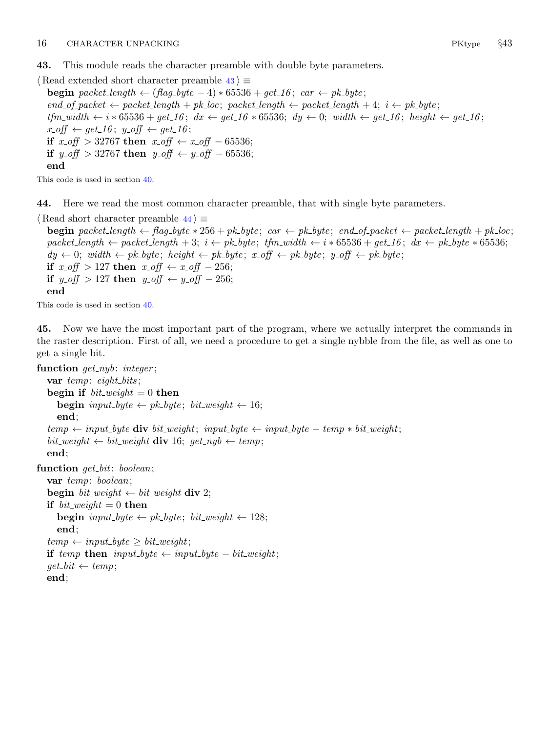<span id="page-15-0"></span>43. This module reads the character preamble with double byte parameters.

 $\langle$  Read extended short character preamble 43 $\rangle \equiv$ **begin** packet\_length  $\leftarrow$  (flag\_byte - 4)  $*$  65536 + get\_16; car  $\leftarrow$  pk\_byte;  $end\_of\_packet \leftarrow packet\_length + pk\_loc; packet\_length \leftarrow packet\_length + 4; i \leftarrow pk\_byte;$  $tfm_width \leftarrow i * 65536 + get\_16$ ;  $dx \leftarrow get\_16 * 65536$ ;  $dy \leftarrow 0$ ; width  $\leftarrow get\_16$ ; height  $\leftarrow get\_16$ ;  $x\text{-}off \leftarrow get\_16$ ;  $y\text{-}off \leftarrow get\_16$ ; if  $x\_off > 32767$  then  $x\_off \leftarrow x\_off - 65536$ ; if y\_off > 32767 then y\_off ← y\_off – 65536; end

This code is used in section [40](#page-14-0).

44. Here we read the most common character preamble, that with single byte parameters.

 $\langle$  Read short character preamble 44 $\rangle \equiv$ 

**begin** packet length  $\leftarrow$  flag byte  $*$  256 + pk byte; car  $\leftarrow$  pk byte; end of packet  $\leftarrow$  packet length + pk loc; packet length ← packet length + 3; i ← pk byte; tfm width ← i \* 65536 + get 16; dx ← pk byte \* 65536;  $dy \leftarrow 0$ ; width  $\leftarrow p k \text{-} byte$ ; height  $\leftarrow p k \text{-} byte$ ; x-off  $\leftarrow p k \text{-} byte$ ; y-off  $\leftarrow p k \text{-} byte$ ; if  $x\_off > 127$  then  $x\_off \leftarrow x\_off - 256$ ; if  $y\text{-}off > 127$  then  $y\text{-}off \leftarrow y\text{-}off - 256$ ; end

This code is used in section [40](#page-14-0).

45. Now we have the most important part of the program, where we actually interpret the commands in the raster description. First of all, we need a procedure to get a single nybble from the file, as well as one to get a single bit.

```
function get_nwb: integer;
  var temp: eight_bits;
  begin if bit\_weight = 0 then
     begin input_byte \leftarrow pk_byte; bit_weight \leftarrow 16;
     end;
  temp \leftarrow input\_byte div bit weight; input byte \leftarrow input\_byte - temp * bit \text{ weight};bit\_weight \leftarrow bit\_weight div 16; qet\_nyb \leftarrow temp;
  end;
function get_bit: boolean;
  var temp: boolean;
  begin bit_weight \leftarrow bit_weight div 2;
  if bit\_weight = 0 then
     begin input_byte \leftarrow pk_byte; bit_weight \leftarrow 128;
     end;
  temp \leftarrow input\_byte \geq bit\_weight;if temp then input_byte \leftarrow input\_byte - bit\_weight;get\_bit \leftarrow temp;end;
```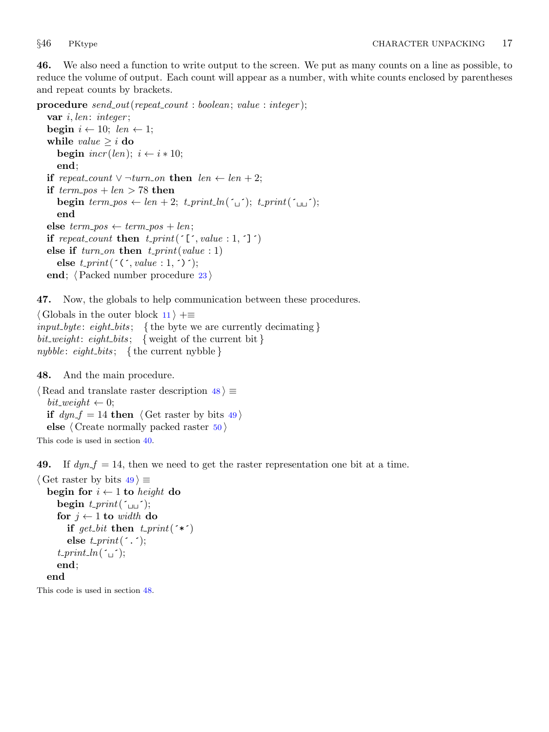<span id="page-16-0"></span>46. We also need a function to write output to the screen. We put as many counts on a line as possible, to reduce the volume of output. Each count will appear as a number, with white counts enclosed by parentheses and repeat counts by brackets.

procedure  $send\_out(repeat\_count : boolean; value : integer);$ 

var *i*, len: *integer*; begin  $i \leftarrow 10$ ; len  $\leftarrow 1$ ; while *value*  $\geq i$  do begin  $\text{incr}(len); i \leftarrow i * 10;$ end; **if** repeat\_count  $\lor$  ¬turn\_on **then** len ← len + 2; if  $term\_pos + len > 78$  then **begin** term\_pos  $\leftarrow$  len + 2; t\_print\_ln( $\left(\begin{smallmatrix} \cdot & \cdot \\ \cdot & \cdot \end{smallmatrix}\right);$  t\_print( $\left(\begin{smallmatrix} \cdot & \cdot \\ \cdot & \cdot \end{smallmatrix}\right);$ end else  $term\_pos \leftarrow term\_pos + len;$ if repeat\_count then  $t$ \_print( $\lceil \cdot, value : 1, \cdot \rceil \rceil$ ) else if  $turn\_on$  then  $t\_print(value : 1)$ else  $t\_print(\ulcorner(\ulcorner, value : 1, \ulcorner) \urcorner);$ end;  $\langle$  Packed number procedure [23](#page-8-0)  $\rangle$ 

47. Now, the globals to help communication between these procedures.

 $\langle$  Globals in the outer block [11](#page-3-0)  $\rangle$  +≡  $input_byte: eight_bits;$  { the byte we are currently decimating }  $bit\_weight:$  eight\_bits; { weight of the current bit} nybble: eight\_bits; { the current nybble }

48. And the main procedure.

 $\langle$  Read and translate raster description 48  $\rangle \equiv$  $bit\_weight \leftarrow 0$ ; if  $dyn_f = 14$  then  $\langle$  Get raster by bits 49  $\rangle$ else  $\langle$  Create normally packed raster  $50 \rangle$  $50 \rangle$ 

This code is used in section [40](#page-14-0).

49. If  $dyn_f = 14$ , then we need to get the raster representation one bit at a time.

```
\langle Get raster by bits 49 \rangle \equivbegin for i \leftarrow 1 to height do
     begin t-print(\simfor j \leftarrow 1 to width do
        if get bit then t-print(\hat{\cdot}*\hat{\cdot})
        else t-print(\cdot, \cdot);t-print-ln(\simend;
  end
```
This code is used in section 48.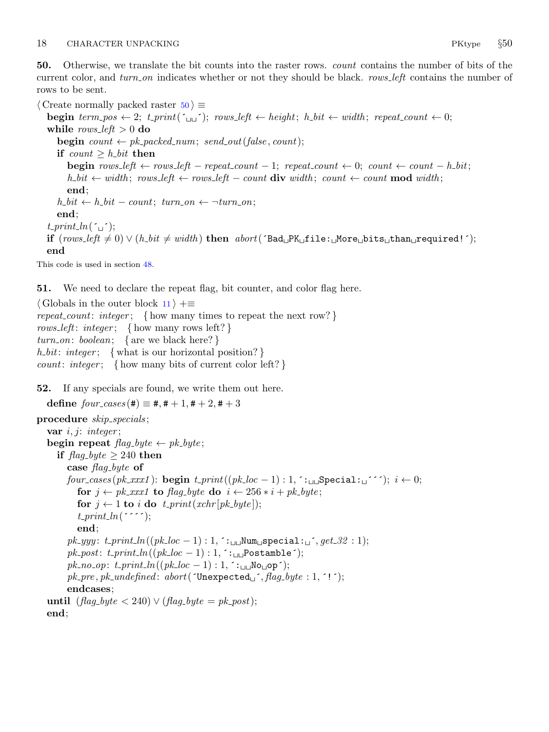<span id="page-17-0"></span>50. Otherwise, we translate the bit counts into the raster rows. count contains the number of bits of the current color, and turn on indicates whether or not they should be black. rows left contains the number of rows to be sent.

 $\langle$  Create normally packed raster 50  $\rangle \equiv$ **begin** term pos  $\leftarrow 2$ ; t print( $\zeta_{\text{ul}}$ ); rows left  $\leftarrow$  height; h bit  $\leftarrow$  width; repeat count  $\leftarrow 0$ ; while  $rows-left > 0$  do **begin**  $count \leftarrow pk\_ packed\_num; send\_out(false, count);$ if  $count \geq h\text{-}bit$  then begin  $rows.left \leftarrow rows.left - repeat_count - 1; repeat_count \leftarrow 0; count \leftarrow count - h-bit;$ h\_bit  $\leftarrow$  width; rows\_left  $\leftarrow$  rows\_left  $\leftarrow$  count div width; count  $\leftarrow$  count mod width; end;  $h\_bit \leftarrow h\_bit - count; turn\_on \leftarrow \neg turn\_on;$ end;  $t$ -print-ln( $\sim$ if  $(rows\_left \neq 0) ∨ (h\_bit \neq width)$  then  $abort('Bad<sub>u</sub>PR<sub>u</sub>file: <sub>u</sub>More<sub>u</sub>bits<sub>u</sub>than<sub>u</sub>required!');$ end

This code is used in section [48](#page-16-0).

51. We need to declare the repeat flag, bit counter, and color flag here.

 $\langle$  Globals in the outer block [11](#page-3-0)  $\rangle$  +≡ repeat\_count: integer; { how many times to repeat the next row?} rows left: integer; { how many rows left? }  $turn\_on: boolean; \{ are we black here? \}$ h\_bit: integer; { what is our horizontal position?} *count: integer*; { how many bits of current color left?}

52. If any specials are found, we write them out here.

define  $four\text{-}cases (\#) \equiv \#, \# + 1, \# + 2, \# + 3$ 

```
procedure skip\_species;
   var i, j: integer;
   begin repeat flag_byte \leftarrow pk_byte;if \text{flag\_byte} \geq 240 then
        case flag_byte of
        four cases (pk xxx1): begin t print ((pk loc - 1) : 1, \therefore Special: \check{i} : \check{i} + 0;
           for j \leftarrow pk\_xxx1 to flag-byte do i \leftarrow 256 * i + pk\_byte;
           for j \leftarrow 1 to i do t_print(xchr[pk_byte]);
           t<sub>-print</sub> ln( \cdots );end;
        pk\_yyy: t\_print\_ln((pk\_loc - 1): 1, :_{\sqcup \sqcup} Num_{\sqcup} special: \sqcup', get\_32 : 1);pk post: t print ln((pk loc − 1) : 1, ´: Postamble´);
        pk\_no\_op: t\_print\_ln((pk\_loc - 1): 1, \in_{\text{full}}\text{No}_\text{u}op´);
        pk\_pre, pk\_undefined: abort('Unexpected\_', flag\_byte : 1, '!');endcases;
   until (flag_b yte < 240) \vee (flag_b yte = pk\_post);end;
```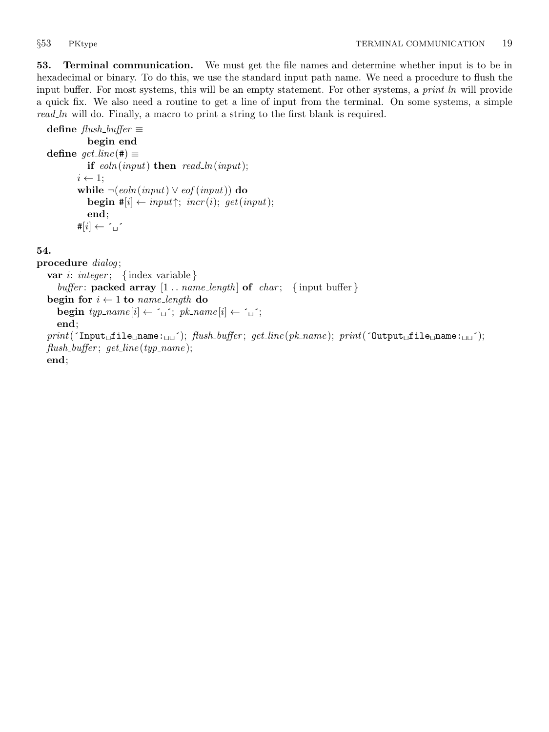<span id="page-18-0"></span>53. Terminal communication. We must get the file names and determine whether input is to be in hexadecimal or binary. To do this, we use the standard input path name. We need a procedure to flush the input buffer. For most systems, this will be an empty statement. For other systems, a *print\_ln* will provide a quick fix. We also need a routine to get a line of input from the terminal. On some systems, a simple read ln will do. Finally, a macro to print a string to the first blank is required.

```
define \text{f}lush_buffer \equivbegin end
define get\_line (\#) \equivif \epsilonoln(input) then \epsilonread_ln(input);
          i \leftarrow 1;
           while \neg(\text{eoln}(\text{input}) \lor \text{eof}(\text{input})) do
              begin #[i] \leftarrow input \uparrow; incr(i); get(input);
              end;
          \sharp[i] \leftarrow \fbox{``} \Box
```
## 54.

procedure *dialog*; var *i*: *integer*; { index variable } buffer: packed array  $[1 \t ... \t name_length]$  of  $char;$  {input buffer} begin for  $i \leftarrow 1$  to name\_length do  $\textbf{begin} \; type \; \textit{type} \; \textit{type} \; \{i\} \leftarrow \; \textit{type} \; \{i\} \; \leftarrow \; \textit{type} \; \{i\} \leftarrow \; \textit{type} \; \{i\} \; \textit{type} \; \textit{type} \; \textit{type} \; \textit{type} \; \textit{type} \; \textit{type} \; \textit{type} \; \textit{type} \; \textit{type} \; \textit{type} \; \textit{type} \; \textit{type} \; \textit{type} \; \textit{type} \; \textit{type} \; \textit{type} \; \text$ end;  $print($   $\text{Input}_{\sqcup}$ file $\sqcup$ name: $\sqcup \sqcup'$ );  ${fusion_{\sqcup}$ ;  ${g}$ et. $line(pk_name);$   ${print($   $\text{Output}_{\sqcup}$ file $\sqcup \sqcup'$ );  $flush_buffer$ ;  $get\_line(typ\_name)$ ;

end;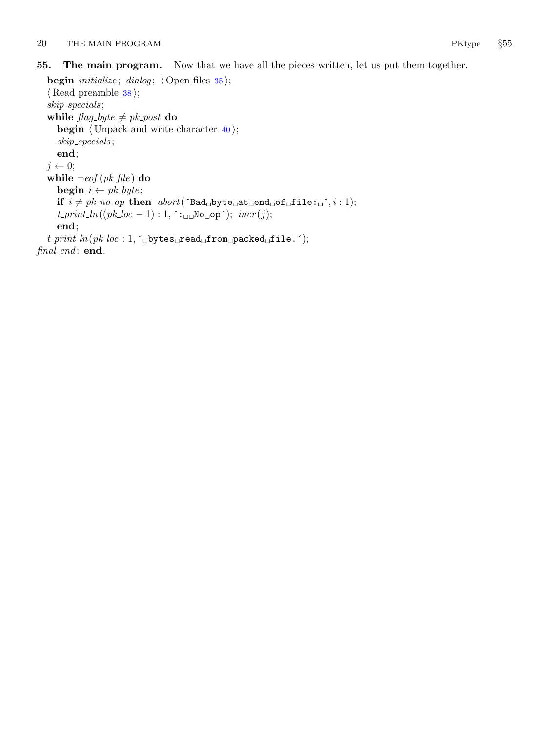## <span id="page-19-0"></span>55. The main program. Now that we have all the pieces written, let us put them together.

```
begin initialize; dialog; \langle35\rangle;
   \langle38\rangle;
   skip specials ;
   while flag\_byte \neq pk\_post do
      begin \langle Unpack and write character 40;
      skip specials ;
      end;
   j \leftarrow 0;while \neg\textit{eof} (pk_file) do
      begin i \leftarrow pk\_byte;if i \neq pk\text{-}no\text{-}op then abort('Bad\text{-}byte\text{-}act\text{-}end\text{-}of\text{-}file:``; i : 1);t\text{-}print\text{-}ln((pk\text{-}loc - 1): 1, \text{ }^{\mathsf{}}:\text{-}log\text{-}op^{\mathsf{}}); \text{ } \text{incr}(j);end;
   t\_print\_ln(pk\_loc: 1, \infty)bytes\Boxread\Boxfrom\Boxpacked\Boxfile.\Box);
final_end: end.
```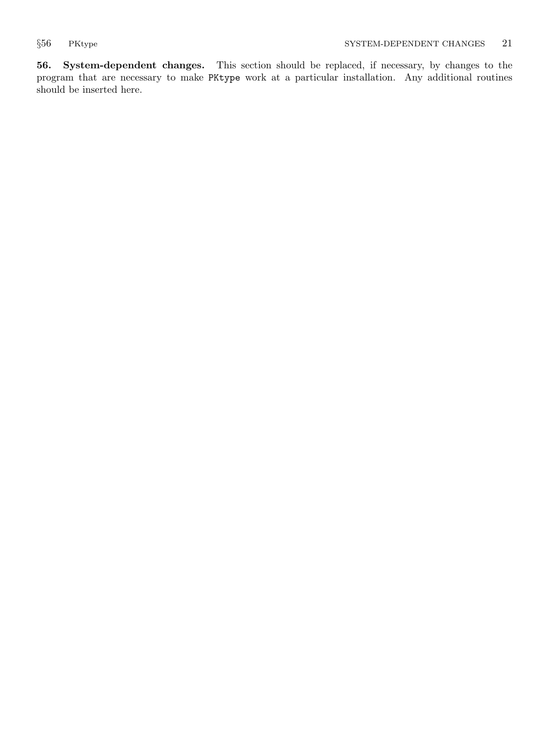<span id="page-20-0"></span>56. System-dependent changes. This section should be replaced, if necessary, by changes to the program that are necessary to make PKtype work at a particular installation. Any additional routines should be inserted here.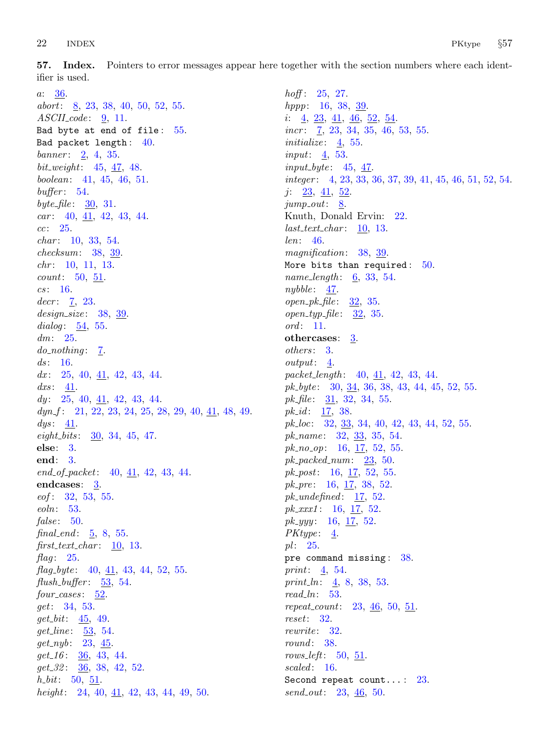<span id="page-21-0"></span>57. Index. Pointers to error messages appear here together with the section numbers where each identifier is used.

a: [36.](#page-13-0) abort: [8,](#page-2-0) [23](#page-8-0), [38](#page-13-0), [40](#page-14-0), [50](#page-17-0), [52](#page-17-0), [55](#page-19-0).  $ASCII \_code: 9, 11.$  $ASCII \_code: 9, 11.$  $ASCII \_code: 9, 11.$  $ASCII \_code: 9, 11.$ Bad byte at end of file: [55](#page-19-0). Bad packet length : [40.](#page-14-0) banner: [2](#page-1-0), [4](#page-1-0), [35](#page-12-0).  $bit\_weight: 45, 47, 48.$  $bit\_weight: 45, 47, 48.$  $bit\_weight: 45, 47, 48.$  $bit\_weight: 45, 47, 48.$  $bit\_weight: 45, 47, 48.$  $bit\_weight: 45, 47, 48.$  $bit\_weight: 45, 47, 48.$ boolean: [41](#page-14-0), [45,](#page-15-0) [46](#page-16-0), [51.](#page-17-0)  $buffer: 54.$  $buffer: 54.$  $buffer: 54.$ byte  $file: 30, 31.$  $file: 30, 31.$  $file: 30, 31.$  $file: 30, 31.$  $car: 40, 41, 42, 43, 44.$  $car: 40, 41, 42, 43, 44.$  $car: 40, 41, 42, 43, 44.$  $car: 40, 41, 42, 43, 44.$  $car: 40, 41, 42, 43, 44.$  $car: 40, 41, 42, 43, 44.$  $car: 40, 41, 42, 43, 44.$  $car: 40, 41, 42, 43, 44.$  $car: 40, 41, 42, 43, 44.$  $car: 40, 41, 42, 43, 44.$  $cc: 25.$  $cc: 25.$  $cc: 25.$  $char: 10, 33, 54.$  $char: 10, 33, 54.$  $char: 10, 33, 54.$  $char: 10, 33, 54.$  $char: 10, 33, 54.$  $char: 10, 33, 54.$  $char: 10, 33, 54.$ checksum: [38](#page-13-0), [39](#page-13-0). chr: [10](#page-3-0), [11](#page-3-0), [13](#page-4-0).  $count: 50, 51.$  $count: 50, 51.$  $count: 50, 51.$  $count: 50, 51.$  $cs: 16.$  $cs: 16.$ decr:  $7, 23.$  $7, 23.$  $7, 23.$  $7, 23.$  $design\_size: 38, 39.$  $design\_size: 38, 39.$  $design\_size: 38, 39.$  $design\_size: 38, 39.$  $design\_size: 38, 39.$ dialog:  $\underline{54}$  $\underline{54}$  $\underline{54}$ , [55](#page-19-0).  $dm: 25.$  $dm: 25.$  $dm: 25.$  $do\_nothinging: \underline{7}.$  $do\_nothinging: \underline{7}.$  $do\_nothinging: \underline{7}.$  $ds$ : [16](#page-6-0). dx:  $25, 40, \underline{41}, 42, 43, 44.$  $25, 40, \underline{41}, 42, 43, 44.$  $25, 40, \underline{41}, 42, 43, 44.$  $25, 40, \underline{41}, 42, 43, 44.$  $25, 40, \underline{41}, 42, 43, 44.$  $25, 40, \underline{41}, 42, 43, 44.$  $25, 40, \underline{41}, 42, 43, 44.$  $25, 40, \underline{41}, 42, 43, 44.$  $25, 40, \underline{41}, 42, 43, 44.$  $dx$ s: [41.](#page-14-0)  $dy: 25, 40, \underline{41}, 42, 43, 44.$  $dy: 25, 40, \underline{41}, 42, 43, 44.$  $dy: 25, 40, \underline{41}, 42, 43, 44.$  $dy: 25, 40, \underline{41}, 42, 43, 44.$  $dy: 25, 40, \underline{41}, 42, 43, 44.$  $dy: 25, 40, \underline{41}, 42, 43, 44.$  $dy: 25, 40, \underline{41}, 42, 43, 44.$  $dy: 25, 40, \underline{41}, 42, 43, 44.$  $dy: 25, 40, \underline{41}, 42, 43, 44.$  $dy: 25, 40, \underline{41}, 42, 43, 44.$  $dyn_f$ : [21,](#page-8-0) [22,](#page-8-0) [23,](#page-8-0) [24](#page-9-0), [25](#page-9-0), [28,](#page-11-0) [29,](#page-11-0) [40,](#page-14-0) <u>[41](#page-14-0)</u>, [48](#page-16-0), [49.](#page-16-0)  $\,dys$ : [41](#page-14-0).  $eight\_bits: \quad \underline{30}$  $eight\_bits: \quad \underline{30}$  $eight\_bits: \quad \underline{30}$ , [34,](#page-12-0) [45](#page-15-0), [47.](#page-16-0) else: [3](#page-1-0). end: [3](#page-1-0).  $end\_of\_packet:$  [40,](#page-14-0)  $41, 42, 43, 44.$  $41, 42, 43, 44.$  $41, 42, 43, 44.$  $41, 42, 43, 44.$  $41, 42, 43, 44.$  $41, 42, 43, 44.$  $41, 42, 43, 44.$ endcases: [3](#page-1-0).  $eof$  : [32,](#page-12-0) [53,](#page-18-0) [55](#page-19-0). eoln: [53](#page-18-0). false:  $50$ . final\_end:  $\frac{5}{9}$  $\frac{5}{9}$  $\frac{5}{9}$ , [8,](#page-2-0) [55.](#page-19-0)  $first\_text\_char: 10, 13.$  $first\_text\_char: 10, 13.$  $first\_text\_char: 10, 13.$  $first\_text\_char: 10, 13.$  $first\_text\_char: 10, 13.$ flag:  $25$ . flag byte:  $40, \underline{41}, 43, 44, 52, 55$  $40, \underline{41}, 43, 44, 52, 55$  $40, \underline{41}, 43, 44, 52, 55$  $40, \underline{41}, 43, 44, 52, 55$  $40, \underline{41}, 43, 44, 52, 55$  $40, \underline{41}, 43, 44, 52, 55$  $40, \underline{41}, 43, 44, 52, 55$  $40, \underline{41}, 43, 44, 52, 55$  $40, \underline{41}, 43, 44, 52, 55$  $40, \underline{41}, 43, 44, 52, 55$ . flush buffer:  $\frac{53}{53}$  $\frac{53}{53}$  $\frac{53}{53}$ , [54.](#page-18-0)  $four\_-cases: 52.$  $four\_-cases: 52.$  $four\_-cases: 52.$ get: [34,](#page-12-0) [53.](#page-18-0)  $get\_bit: \underline{45}$  $get\_bit: \underline{45}$  $get\_bit: \underline{45}$ , [49](#page-16-0). get\_line: [53,](#page-18-0) [54.](#page-18-0)  $get_nyb: 23, 45.$  $get_nyb: 23, 45.$  $get_nyb: 23, 45.$  $get_nyb: 23, 45.$ qet  $16: 36, 43, 44.$  $16: 36, 43, 44.$  $16: 36, 43, 44.$  $16: 36, 43, 44.$  $16: 36, 43, 44.$  $16: 36, 43, 44.$  $16: 36, 43, 44.$  $get_32: 36, 38, 42, 52.$  $get_32: 36, 38, 42, 52.$  $get_32: 36, 38, 42, 52.$  $get_32: 36, 38, 42, 52.$  $get_32: 36, 38, 42, 52.$  $get_32: 36, 38, 42, 52.$  $get_32: 36, 38, 42, 52.$  $get_32: 36, 38, 42, 52.$  $h_b$ *bit*: [50,](#page-17-0) [51.](#page-17-0) height: [24,](#page-9-0) [40,](#page-14-0)  $\overline{41}$  $\overline{41}$  $\overline{41}$ , [42](#page-14-0), [43,](#page-15-0) [44,](#page-15-0) [49](#page-16-0), [50](#page-17-0).

 $h$ off: [25,](#page-9-0) [27.](#page-10-0) hppp: [16](#page-6-0), [38](#page-13-0), [39.](#page-13-0) i: [4](#page-1-0), [23,](#page-8-0) [41](#page-14-0), [46,](#page-16-0) [52](#page-17-0), [54.](#page-18-0) incr: [7,](#page-1-0) [23,](#page-8-0) [34,](#page-12-0) [35](#page-12-0), [46](#page-16-0), [53](#page-18-0), [55](#page-19-0). initialize: [4](#page-1-0), [55](#page-19-0). input: [4,](#page-1-0) [53.](#page-18-0)  $input_bute: 45, 47.$  $input_bute: 45, 47.$  $input_bute: 45, 47.$  $input_bute: 45, 47.$  $input_bute: 45, 47.$ integer: [4,](#page-1-0) [23](#page-8-0), [33](#page-12-0), [36,](#page-13-0) [37](#page-13-0), [39](#page-13-0), [41,](#page-14-0) [45](#page-15-0), [46](#page-16-0), [51,](#page-17-0) [52,](#page-17-0) [54](#page-18-0). j: [23](#page-8-0), [41](#page-14-0), [52.](#page-17-0)  $jump_out: 8$  $jump_out: 8$ . Knuth, Donald Ervin: [22](#page-8-0).  $last\_text\_char: 10, 13.$  $last\_text\_char: 10, 13.$  $last\_text\_char: 10, 13.$  $last\_text\_char: 10, 13.$  $last\_text\_char: 10, 13.$ len: [46.](#page-16-0) magnification: [38](#page-13-0), [39.](#page-13-0) More bits than required:  $50$ . name\_length: [6,](#page-1-0) [33](#page-12-0), [54.](#page-18-0)  $nybble: 47.$  $nybble: 47.$  $open\_pk\_file: 32, 35.$  $open\_pk\_file: 32, 35.$  $open\_pk\_file: 32, 35.$  $open\_pk\_file: 32, 35.$  $open\_pk\_file: 32, 35.$  $open\_typ\_file: 32, 35.$  $open\_typ\_file: 32, 35.$  $open\_typ\_file: 32, 35.$  $open\_typ\_file: 32, 35.$  $\textit{ord}: 11.$  $\textit{ord}: 11.$  $\textit{ord}: 11.$ othercases: [3.](#page-1-0) others: [3](#page-1-0). output: [4.](#page-1-0) packet\_length:  $40, \underline{41}, 42, 43, 44$  $40, \underline{41}, 42, 43, 44$  $40, \underline{41}, 42, 43, 44$  $40, \underline{41}, 42, 43, 44$  $40, \underline{41}, 42, 43, 44$  $40, \underline{41}, 42, 43, 44$  $40, \underline{41}, 42, 43, 44$  $40, \underline{41}, 42, 43, 44$  $40, \underline{41}, 42, 43, 44$ .  $pk\_byte:$  [30,](#page-12-0) [34](#page-12-0), [36,](#page-13-0) [38](#page-13-0), [43,](#page-15-0) [44](#page-15-0), [45,](#page-15-0) [52](#page-17-0), [55.](#page-19-0) pk\_file:  $31, 32, 34, 55$  $31, 32, 34, 55$  $31, 32, 34, 55$  $31, 32, 34, 55$  $31, 32, 34, 55$  $31, 32, 34, 55$ .  $pk\_id$ : [17,](#page-6-0) [38.](#page-13-0)  $pk\_loc:$  [32,](#page-12-0) [33](#page-12-0), [34,](#page-12-0) [40](#page-14-0), [42](#page-14-0), [43,](#page-15-0) [44](#page-15-0), [52,](#page-17-0) [55](#page-19-0). pk\_name:  $32, 33, 35, 54$  $32, 33, 35, 54$  $32, 33, 35, 54$  $32, 33, 35, 54$  $32, 33, 35, 54$  $32, 33, 35, 54$  $32, 33, 35, 54$ .  $pk\_no\_op:$  [16,](#page-6-0) [17](#page-6-0), [52,](#page-17-0) [55](#page-19-0).  $pk\_packet_{num:}$  [23](#page-8-0), [50.](#page-17-0)  $pk\_post: 16, 17, 52, 55.$  $pk\_post: 16, 17, 52, 55.$  $pk\_post: 16, 17, 52, 55.$  $pk\_post: 16, 17, 52, 55.$  $pk\_post: 16, 17, 52, 55.$  $pk\_post: 16, 17, 52, 55.$  $pk\_post: 16, 17, 52, 55.$  $pk\_post: 16, 17, 52, 55.$  $pk\_post: 16, 17, 52, 55.$  $pk\_pre: 16, 17, 38, 52.$  $pk\_pre: 16, 17, 38, 52.$  $pk\_pre: 16, 17, 38, 52.$  $pk\_pre: 16, 17, 38, 52.$  $pk\_pre: 16, 17, 38, 52.$  $pk\_pre: 16, 17, 38, 52.$  $pk\_pre: 16, 17, 38, 52.$  $pk\_pre: 16, 17, 38, 52.$  $pk\_pre: 16, 17, 38, 52.$ pk\_undefined:  $17, 52$  $17, 52$  $17, 52$ .  $pk\_xxx1$ : [16,](#page-6-0) [17,](#page-6-0) [52](#page-17-0).  $pk\_yyy$ : [16,](#page-6-0) [17,](#page-6-0) [52](#page-17-0).  $PKtype: \underline{4}.$  $pl: 25.$  $pl: 25.$ pre command missing : [38](#page-13-0). print: [4](#page-1-0), [54.](#page-18-0) print  $\ln: \frac{4}{5}$  $\ln: \frac{4}{5}$  $\ln: \frac{4}{5}$ , [8,](#page-2-0) [38](#page-13-0), [53.](#page-18-0)  $read\_ln: 53$ . repeat\_count:  $23, 46, 50, 51$  $23, 46, 50, 51$  $23, 46, 50, 51$  $23, 46, 50, 51$  $23, 46, 50, 51$  $23, 46, 50, 51$  $23, 46, 50, 51$ . reset: [32](#page-12-0). rewrite: [32.](#page-12-0) round: [38](#page-13-0). rows left:  $50, 51$  $50, 51$ . scaled: [16](#page-6-0). Second repeat count...: [23.](#page-8-0)  $send\_out: 23, 46, 50.$  $send\_out: 23, 46, 50.$  $send\_out: 23, 46, 50.$  $send\_out: 23, 46, 50.$  $send\_out: 23, 46, 50.$  $send\_out: 23, 46, 50.$  $send\_out: 23, 46, 50.$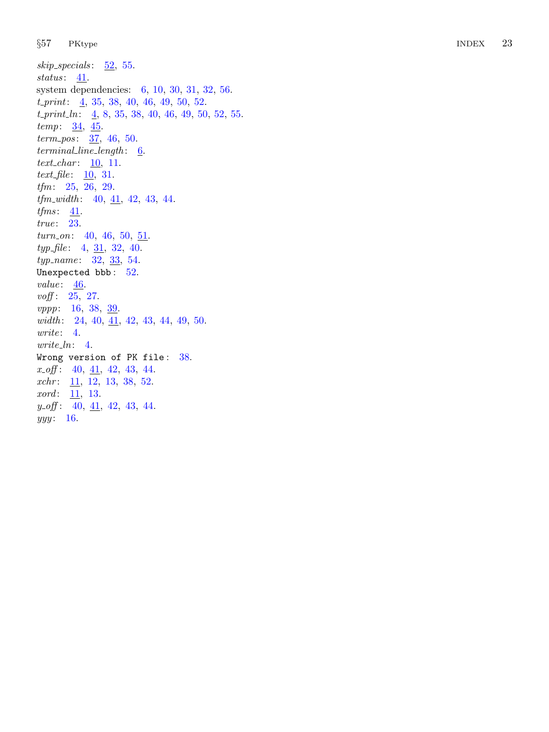$skip\_species: 52, 55.$  $skip\_species: 52, 55.$  $skip\_species: 52, 55.$  $skip\_species: 52, 55.$  $skip\_species: 52, 55.$ status:  $41$ . system dependencies: [6](#page-1-0), [10](#page-3-0), [30](#page-12-0), [31](#page-12-0), [32](#page-12-0), [56](#page-20-0).  $t\_print: \underline{4}, 35, 38, 40, 46, 49, 50, 52.$  $t\_print: \underline{4}, 35, 38, 40, 46, 49, 50, 52.$  $t\_print: \underline{4}, 35, 38, 40, 46, 49, 50, 52.$  $t\_print: \underline{4}, 35, 38, 40, 46, 49, 50, 52.$  $t\_print: \underline{4}, 35, 38, 40, 46, 49, 50, 52.$  $t\_print: \underline{4}, 35, 38, 40, 46, 49, 50, 52.$  $t\_print: \underline{4}, 35, 38, 40, 46, 49, 50, 52.$  $t\_print: \underline{4}, 35, 38, 40, 46, 49, 50, 52.$  $t\_print: \underline{4}, 35, 38, 40, 46, 49, 50, 52.$  $t\_print: \underline{4}, 35, 38, 40, 46, 49, 50, 52.$  $t\_print: \underline{4}, 35, 38, 40, 46, 49, 50, 52.$  $t\_print: \underline{4}, 35, 38, 40, 46, 49, 50, 52.$  $t\_print: \underline{4}, 35, 38, 40, 46, 49, 50, 52.$  $t\_print: \underline{4}, 35, 38, 40, 46, 49, 50, 52.$  $t\_print: \underline{4}, 35, 38, 40, 46, 49, 50, 52.$  $t\_print: \underline{4}, 35, 38, 40, 46, 49, 50, 52.$  $t\_print: \underline{4}, 35, 38, 40, 46, 49, 50, 52.$  $t\_print\_ln:$   $\underline{4}$  $\underline{4}$  $\underline{4}$ , [8](#page-2-0), [35](#page-12-0), [38](#page-13-0), [40](#page-14-0), [46](#page-16-0), [49](#page-16-0), [50](#page-17-0), [52](#page-17-0), [55](#page-19-0).  $temp: \frac{34}{15}.$  $temp: \frac{34}{15}.$  $temp: \frac{34}{15}.$  $term\_pos: 37, 46, 50.$  $term\_pos: 37, 46, 50.$  $term\_pos: 37, 46, 50.$  $term\_pos: 37, 46, 50.$  $term\_pos: 37, 46, 50.$  $term\_pos: 37, 46, 50.$  $term\_pos: 37, 46, 50.$  $terminal\_line\_length: \quad \underline{6}.$  $terminal\_line\_length: \quad \underline{6}.$  $terminal\_line\_length: \quad \underline{6}.$ text\_char:  $\underline{10}$  $\underline{10}$  $\underline{10}$ , [11](#page-3-0). text\_file:  $\overline{10}$  $\overline{10}$  $\overline{10}$ , [31](#page-12-0). tfm: [25](#page-9-0), [26](#page-10-0), [29](#page-11-0).  $tfm_width: \quad 40, \underline{41}, \underline{42}, \underline{43}, \underline{44}.$  $tfm_width: \quad 40, \underline{41}, \underline{42}, \underline{43}, \underline{44}.$  $tfm_width: \quad 40, \underline{41}, \underline{42}, \underline{43}, \underline{44}.$  $tfm_width: \quad 40, \underline{41}, \underline{42}, \underline{43}, \underline{44}.$  $tfm_width: \quad 40, \underline{41}, \underline{42}, \underline{43}, \underline{44}.$  $tfm_width: \quad 40, \underline{41}, \underline{42}, \underline{43}, \underline{44}.$  $tfm_width: \quad 40, \underline{41}, \underline{42}, \underline{43}, \underline{44}.$  $tfm_width: \quad 40, \underline{41}, \underline{42}, \underline{43}, \underline{44}.$  $tfm_width: \quad 40, \underline{41}, \underline{42}, \underline{43}, \underline{44}.$  $tfm_width: \quad 40, \underline{41}, \underline{42}, \underline{43}, \underline{44}.$  $tfm_width: \quad 40, \underline{41}, \underline{42}, \underline{43}, \underline{44}.$  $tfms: \underline{41}$  $tfms: \underline{41}$  $tfms: \underline{41}$ . true: [23](#page-8-0).  $turn\_on: 40, 46, 50, \underline{51}.$  $turn\_on: 40, 46, 50, \underline{51}.$  $turn\_on: 40, 46, 50, \underline{51}.$  $turn\_on: 40, 46, 50, \underline{51}.$  $turn\_on: 40, 46, 50, \underline{51}.$  $turn\_on: 40, 46, 50, \underline{51}.$  $turn\_on: 40, 46, 50, \underline{51}.$  $turn\_on: 40, 46, 50, \underline{51}.$  $turn\_on: 40, 46, 50, \underline{51}.$  $typ_{\mathcal{I}}$  file: [4](#page-1-0),  $\underline{31}$  $\underline{31}$  $\underline{31}$ , [32](#page-12-0), [40](#page-14-0).  $typ_name: 32, 33, 54.$  $typ_name: 32, 33, 54.$  $typ_name: 32, 33, 54.$  $typ_name: 32, 33, 54.$  $typ_name: 32, 33, 54.$  $typ_name: 32, 33, 54.$  $typ_name: 32, 33, 54.$ Unexpected  ${\tt bbb:}~~52.$  ${\tt bbb:}~~52.$  ${\tt bbb:}~~52.$  $value: \underline{46}$  $value: \underline{46}$  $value: \underline{46}$ .  $\text{voff}: 25, 27.$  $\text{voff}: 25, 27.$  $\text{voff}: 25, 27.$  $\text{voff}: 25, 27.$  $\text{voff}: 25, 27.$ vppp: [16](#page-6-0), [38](#page-13-0), [39](#page-13-0).  $width: \quad 24, \, 40, \, \underline{41}, \, 42, \, 43, \, 44, \, 49, \, 50.$  $width: \quad 24, \, 40, \, \underline{41}, \, 42, \, 43, \, 44, \, 49, \, 50.$  $width: \quad 24, \, 40, \, \underline{41}, \, 42, \, 43, \, 44, \, 49, \, 50.$  $width: \quad 24, \, 40, \, \underline{41}, \, 42, \, 43, \, 44, \, 49, \, 50.$  $width: \quad 24, \, 40, \, \underline{41}, \, 42, \, 43, \, 44, \, 49, \, 50.$  $width: \quad 24, \, 40, \, \underline{41}, \, 42, \, 43, \, 44, \, 49, \, 50.$  $width: \quad 24, \, 40, \, \underline{41}, \, 42, \, 43, \, 44, \, 49, \, 50.$  $width: \quad 24, \, 40, \, \underline{41}, \, 42, \, 43, \, 44, \, 49, \, 50.$  $width: \quad 24, \, 40, \, \underline{41}, \, 42, \, 43, \, 44, \, 49, \, 50.$  $width: \quad 24, \, 40, \, \underline{41}, \, 42, \, 43, \, 44, \, 49, \, 50.$  $width: \quad 24, \, 40, \, \underline{41}, \, 42, \, 43, \, 44, \, 49, \, 50.$  $width: \quad 24, \, 40, \, \underline{41}, \, 42, \, 43, \, 44, \, 49, \, 50.$  $width: \quad 24, \, 40, \, \underline{41}, \, 42, \, 43, \, 44, \, 49, \, 50.$  $width: \quad 24, \, 40, \, \underline{41}, \, 42, \, 43, \, 44, \, 49, \, 50.$  $width: \quad 24, \, 40, \, \underline{41}, \, 42, \, 43, \, 44, \, 49, \, 50.$  $width: \quad 24, \, 40, \, \underline{41}, \, 42, \, 43, \, 44, \, 49, \, 50.$  $width: \quad 24, \, 40, \, \underline{41}, \, 42, \, 43, \, 44, \, 49, \, 50.$ write: [4](#page-1-0).  $write\_ln: 4$  $write\_ln: 4$ . Wrong version of PK file: [38](#page-13-0).  $x\_off: \quad 40, \underline{41}, \underline{42}, \underline{43}, \underline{44}.$  $x\_off: \quad 40, \underline{41}, \underline{42}, \underline{43}, \underline{44}.$  $x\_off: \quad 40, \underline{41}, \underline{42}, \underline{43}, \underline{44}.$  $x\_off: \quad 40, \underline{41}, \underline{42}, \underline{43}, \underline{44}.$  $x\_off: \quad 40, \underline{41}, \underline{42}, \underline{43}, \underline{44}.$  $x\_off: \quad 40, \underline{41}, \underline{42}, \underline{43}, \underline{44}.$  $x\_off: \quad 40, \underline{41}, \underline{42}, \underline{43}, \underline{44}.$  $x\_off: \quad 40, \underline{41}, \underline{42}, \underline{43}, \underline{44}.$  $x\_off: \quad 40, \underline{41}, \underline{42}, \underline{43}, \underline{44}.$  $x\_off: \quad 40, \underline{41}, \underline{42}, \underline{43}, \underline{44}.$  $x\_off: \quad 40, \underline{41}, \underline{42}, \underline{43}, \underline{44}.$  $xchr: \underline{11}, 12, 13, 38, 52.$  $xchr: \underline{11}, 12, 13, 38, 52.$  $xchr: \underline{11}, 12, 13, 38, 52.$  $xchr: \underline{11}, 12, 13, 38, 52.$  $xchr: \underline{11}, 12, 13, 38, 52.$  $xchr: \underline{11}, 12, 13, 38, 52.$  $xchr: \underline{11}, 12, 13, 38, 52.$  $xchr: \underline{11}, 12, 13, 38, 52.$  $xchr: \underline{11}, 12, 13, 38, 52.$  $xchr: \underline{11}, 12, 13, 38, 52.$  $xchr: \underline{11}, 12, 13, 38, 52.$ xord: [11](#page-3-0), [13](#page-4-0).  $y\_off: \quad 40, \frac{41}{1}, \frac{42}{1}, \frac{43}{1}$  $y\_off: \quad 40, \frac{41}{1}, \frac{42}{1}, \frac{43}{1}$  $y\_off: \quad 40, \frac{41}{1}, \frac{42}{1}, \frac{43}{1}$  $y\_off: \quad 40, \frac{41}{1}, \frac{42}{1}, \frac{43}{1}$  $y\_off: \quad 40, \frac{41}{1}, \frac{42}{1}, \frac{43}{1}$  $y\_off: \quad 40, \frac{41}{1}, \frac{42}{1}, \frac{43}{1}$  $y\_off: \quad 40, \frac{41}{1}, \frac{42}{1}, \frac{43}{1}$  $y\_off: \quad 40, \frac{41}{1}, \frac{42}{1}, \frac{43}{1}$  $y\_off: \quad 40, \frac{41}{1}, \frac{42}{1}, \frac{43}{1}$ yyy: [16](#page-6-0).